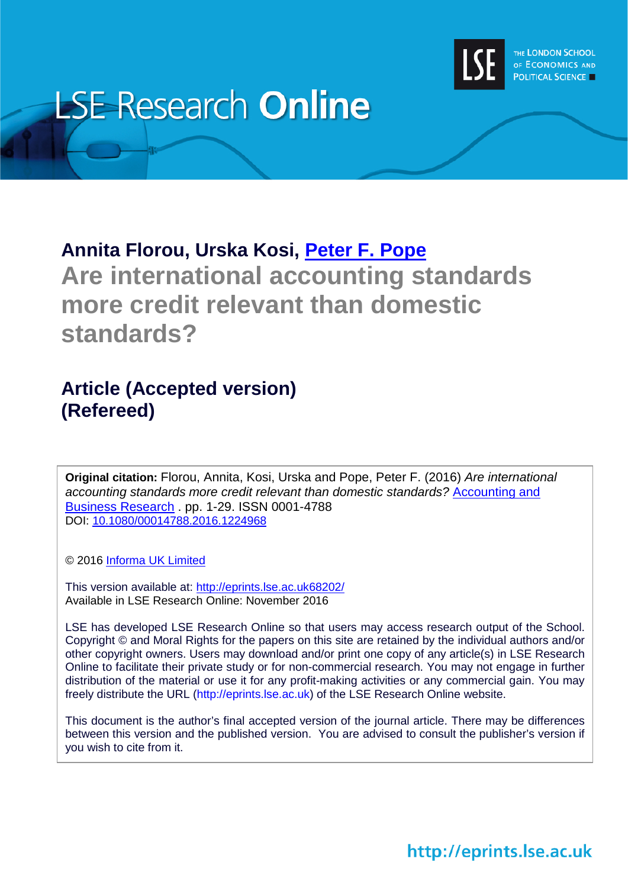

# **LSE-Research Online**

# **Annita Florou, Urska Kosi, [Peter F. Pope](http://www.lse.ac.uk/researchAndExpertise/Experts/profile.aspx?KeyValue=p.pope@lse.ac.uk) Are international accounting standards more credit relevant than domestic standards?**

# **Article (Accepted version) (Refereed)**

**Original citation:** Florou, Annita, Kosi, Urska and Pope, Peter F. (2016) *Are international accounting standards more credit relevant than domestic standards?* [Accounting and](http://www.tandfonline.com/toc/rabr20/current)  [Business Research](http://www.tandfonline.com/toc/rabr20/current) . pp. 1-29. ISSN 0001-4788 DOI: [10.1080/00014788.2016.1224968](http://dx.doi.org/10.1080/00014788.2016.1224968)

© 2016 [Informa UK Limited](http://informa.com/)

This version available at:<http://eprints.lse.ac.uk68202/> Available in LSE Research Online: November 2016

LSE has developed LSE Research Online so that users may access research output of the School. Copyright © and Moral Rights for the papers on this site are retained by the individual authors and/or other copyright owners. Users may download and/or print one copy of any article(s) in LSE Research Online to facilitate their private study or for non-commercial research. You may not engage in further distribution of the material or use it for any profit-making activities or any commercial gain. You may freely distribute the URL (http://eprints.lse.ac.uk) of the LSE Research Online website.

This document is the author's final accepted version of the journal article. There may be differences between this version and the published version. You are advised to consult the publisher's version if you wish to cite from it.

http://eprints.lse.ac.uk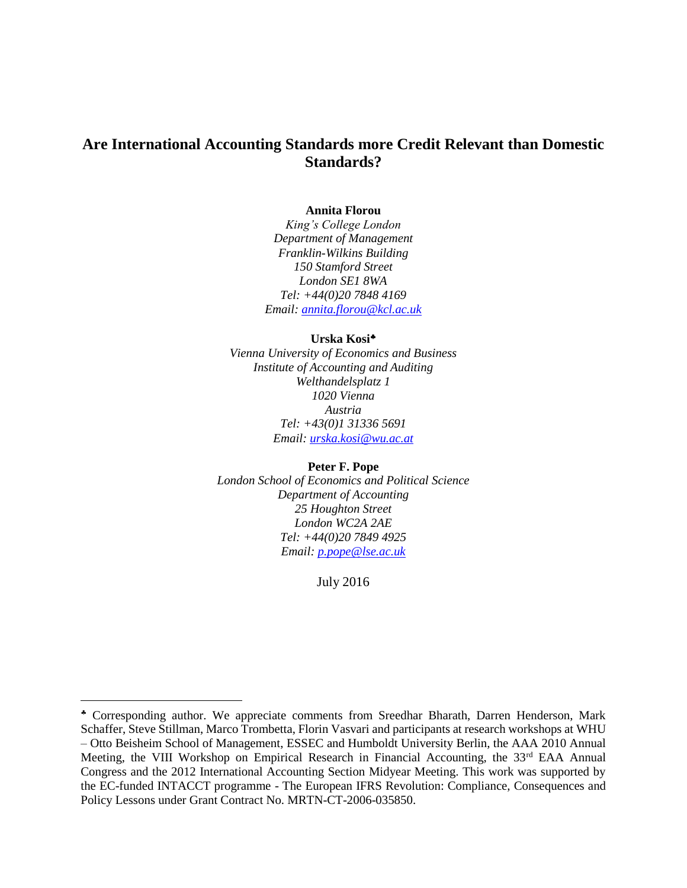# **Are International Accounting Standards more Credit Relevant than Domestic Standards?**

#### **Annita Florou**

*King's College London Department of Management Franklin-Wilkins Building 150 Stamford Street London SE1 8WA Tel: [+44\(0\)20](tel:+44(0)20) 7848 4169 Email: [annita.florou@kcl.ac.uk](mailto:annita.florou@kcl.ac.uk)*

#### **Urska Kosi**

*Vienna University of Economics and Business Institute of Accounting and Auditing Welthandelsplatz 1 1020 Vienna Austria Tel: +43(0)1 31336 5691 Email: [urska.kosi@wu.ac.at](mailto:urska.kosi@wu.ac.at)*

**Peter F. Pope** *London School of Economics and Political Science Department of Accounting 25 Houghton Street London WC2A 2AE Tel: +44(0)20 7849 4925 Email: [p.pope@lse.ac.uk](mailto:p.pope@lse.ac.uk)*

July 2016

<u>.</u>

Corresponding author. We appreciate comments from Sreedhar Bharath, Darren Henderson, Mark Schaffer, Steve Stillman, Marco Trombetta, Florin Vasvari and participants at research workshops at WHU – Otto Beisheim School of Management, ESSEC and Humboldt University Berlin, the AAA 2010 Annual Meeting, the VIII Workshop on Empirical Research in Financial Accounting, the 33<sup>rd</sup> EAA Annual Congress and the 2012 International Accounting Section Midyear Meeting. This work was supported by the EC-funded INTACCT programme - The European IFRS Revolution: Compliance, Consequences and Policy Lessons under Grant Contract No. MRTN-CT-2006-035850.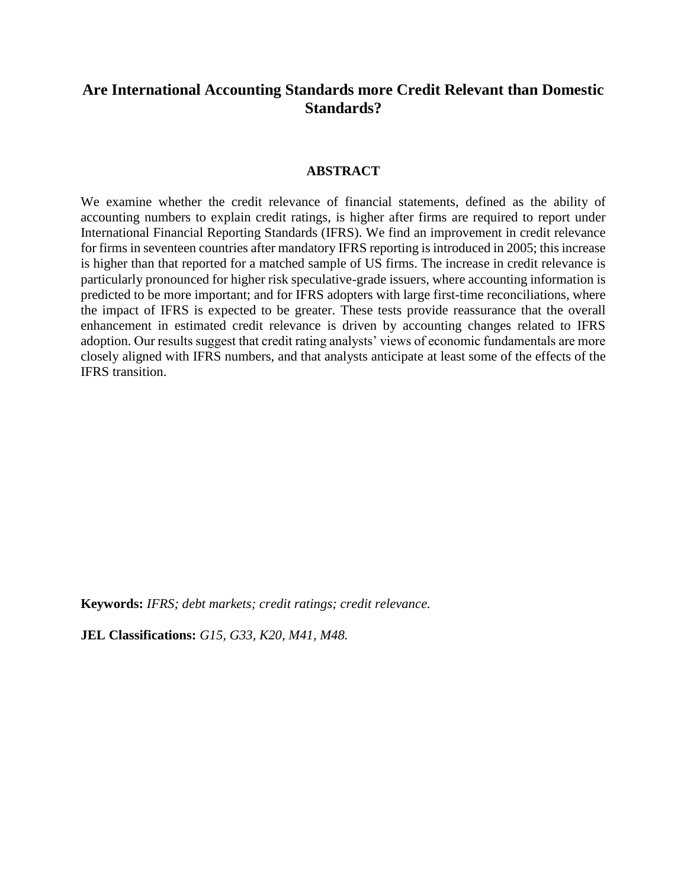# **Are International Accounting Standards more Credit Relevant than Domestic Standards?**

#### **ABSTRACT**

We examine whether the credit relevance of financial statements, defined as the ability of accounting numbers to explain credit ratings, is higher after firms are required to report under International Financial Reporting Standards (IFRS). We find an improvement in credit relevance for firms in seventeen countries after mandatory IFRS reporting is introduced in 2005; this increase is higher than that reported for a matched sample of US firms. The increase in credit relevance is particularly pronounced for higher risk speculative-grade issuers, where accounting information is predicted to be more important; and for IFRS adopters with large first-time reconciliations, where the impact of IFRS is expected to be greater. These tests provide reassurance that the overall enhancement in estimated credit relevance is driven by accounting changes related to IFRS adoption. Our results suggest that credit rating analysts' views of economic fundamentals are more closely aligned with IFRS numbers, and that analysts anticipate at least some of the effects of the IFRS transition.

**Keywords:** *IFRS; debt markets; credit ratings; credit relevance.*

**JEL Classifications:** *G15, G33, K20, M41, M48.*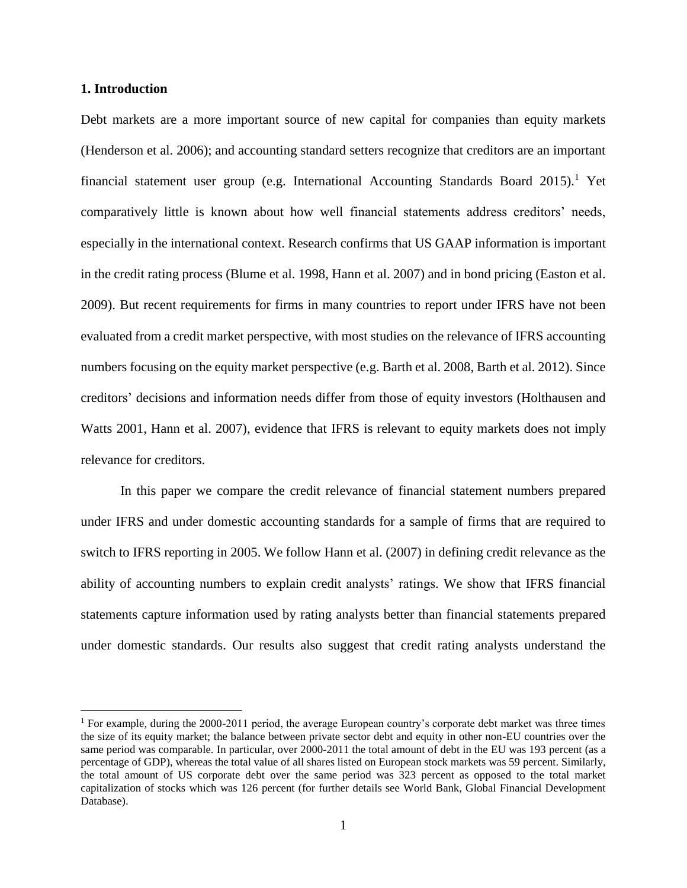#### **1. Introduction**

<u>.</u>

Debt markets are a more important source of new capital for companies than equity markets (Henderson et al. 2006); and accounting standard setters recognize that creditors are an important financial statement user group (e.g. International Accounting Standards Board  $2015$ ).<sup>1</sup> Yet comparatively little is known about how well financial statements address creditors' needs, especially in the international context. Research confirms that US GAAP information is important in the credit rating process (Blume et al. 1998, Hann et al. 2007) and in bond pricing (Easton et al. 2009). But recent requirements for firms in many countries to report under IFRS have not been evaluated from a credit market perspective, with most studies on the relevance of IFRS accounting numbers focusing on the equity market perspective (e.g. Barth et al. 2008, Barth et al. 2012). Since creditors' decisions and information needs differ from those of equity investors (Holthausen and Watts 2001, Hann et al. 2007), evidence that IFRS is relevant to equity markets does not imply relevance for creditors.

In this paper we compare the credit relevance of financial statement numbers prepared under IFRS and under domestic accounting standards for a sample of firms that are required to switch to IFRS reporting in 2005. We follow Hann et al. (2007) in defining credit relevance as the ability of accounting numbers to explain credit analysts' ratings. We show that IFRS financial statements capture information used by rating analysts better than financial statements prepared under domestic standards. Our results also suggest that credit rating analysts understand the

<sup>1</sup> For example, during the 2000-2011 period, the average European country's corporate debt market was three times the size of its equity market; the balance between private sector debt and equity in other non-EU countries over the same period was comparable. In particular, over 2000-2011 the total amount of debt in the EU was 193 percent (as a percentage of GDP), whereas the total value of all shares listed on European stock markets was 59 percent. Similarly, the total amount of US corporate debt over the same period was 323 percent as opposed to the total market capitalization of stocks which was 126 percent (for further details see World Bank, Global Financial Development Database).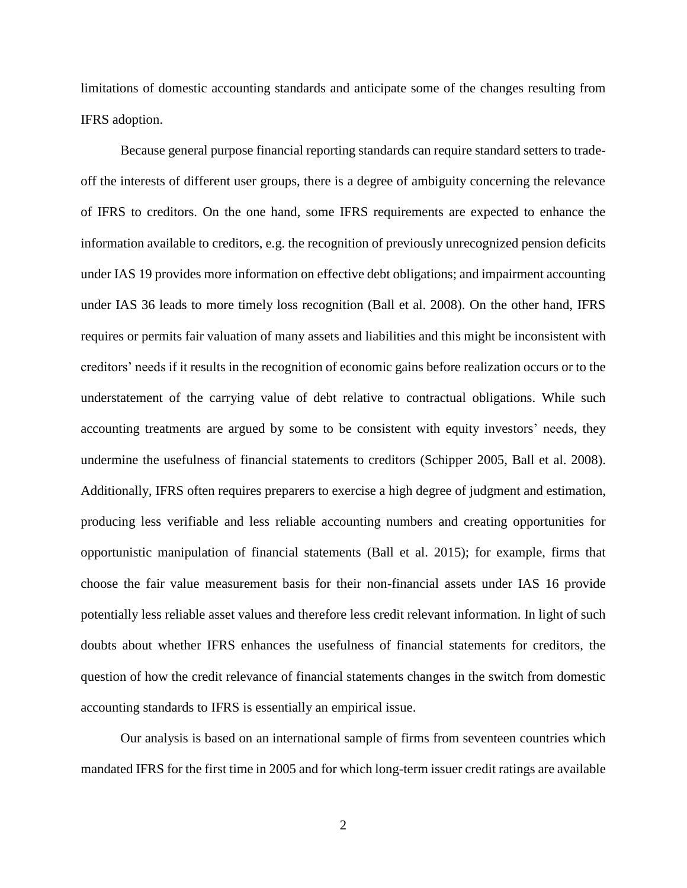limitations of domestic accounting standards and anticipate some of the changes resulting from IFRS adoption.

Because general purpose financial reporting standards can require standard setters to tradeoff the interests of different user groups, there is a degree of ambiguity concerning the relevance of IFRS to creditors. On the one hand, some IFRS requirements are expected to enhance the information available to creditors, e.g. the recognition of previously unrecognized pension deficits under IAS 19 provides more information on effective debt obligations; and impairment accounting under IAS 36 leads to more timely loss recognition (Ball et al. 2008). On the other hand, IFRS requires or permits fair valuation of many assets and liabilities and this might be inconsistent with creditors' needs if it results in the recognition of economic gains before realization occurs or to the understatement of the carrying value of debt relative to contractual obligations. While such accounting treatments are argued by some to be consistent with equity investors' needs, they undermine the usefulness of financial statements to creditors (Schipper 2005, Ball et al. 2008). Additionally, IFRS often requires preparers to exercise a high degree of judgment and estimation, producing less verifiable and less reliable accounting numbers and creating opportunities for opportunistic manipulation of financial statements (Ball et al. 2015); for example, firms that choose the fair value measurement basis for their non-financial assets under IAS 16 provide potentially less reliable asset values and therefore less credit relevant information. In light of such doubts about whether IFRS enhances the usefulness of financial statements for creditors, the question of how the credit relevance of financial statements changes in the switch from domestic accounting standards to IFRS is essentially an empirical issue.

Our analysis is based on an international sample of firms from seventeen countries which mandated IFRS for the first time in 2005 and for which long-term issuer credit ratings are available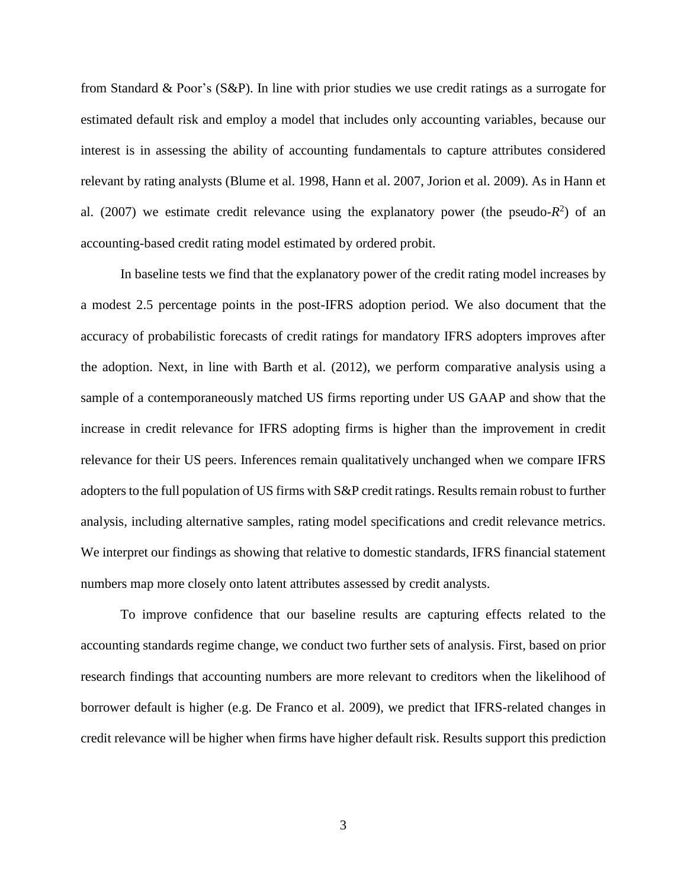from Standard & Poor's (S&P). In line with prior studies we use credit ratings as a surrogate for estimated default risk and employ a model that includes only accounting variables, because our interest is in assessing the ability of accounting fundamentals to capture attributes considered relevant by rating analysts (Blume et al. 1998, Hann et al. 2007, Jorion et al. 2009). As in Hann et al. (2007) we estimate credit relevance using the explanatory power (the pseudo- $R^2$ ) of an accounting-based credit rating model estimated by ordered probit.

In baseline tests we find that the explanatory power of the credit rating model increases by a modest 2.5 percentage points in the post-IFRS adoption period. We also document that the accuracy of probabilistic forecasts of credit ratings for mandatory IFRS adopters improves after the adoption. Next, in line with Barth et al. (2012), we perform comparative analysis using a sample of a contemporaneously matched US firms reporting under US GAAP and show that the increase in credit relevance for IFRS adopting firms is higher than the improvement in credit relevance for their US peers. Inferences remain qualitatively unchanged when we compare IFRS adopters to the full population of US firms with S&P credit ratings. Results remain robust to further analysis, including alternative samples, rating model specifications and credit relevance metrics. We interpret our findings as showing that relative to domestic standards, IFRS financial statement numbers map more closely onto latent attributes assessed by credit analysts.

To improve confidence that our baseline results are capturing effects related to the accounting standards regime change, we conduct two further sets of analysis. First, based on prior research findings that accounting numbers are more relevant to creditors when the likelihood of borrower default is higher (e.g. De Franco et al. 2009), we predict that IFRS-related changes in credit relevance will be higher when firms have higher default risk. Results support this prediction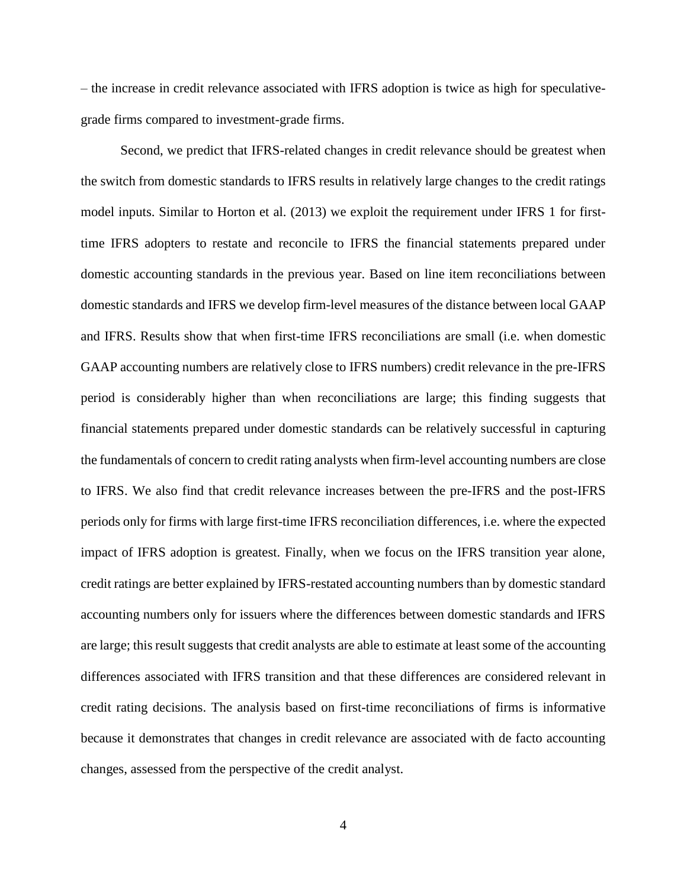– the increase in credit relevance associated with IFRS adoption is twice as high for speculativegrade firms compared to investment-grade firms.

Second, we predict that IFRS-related changes in credit relevance should be greatest when the switch from domestic standards to IFRS results in relatively large changes to the credit ratings model inputs. Similar to Horton et al. (2013) we exploit the requirement under IFRS 1 for firsttime IFRS adopters to restate and reconcile to IFRS the financial statements prepared under domestic accounting standards in the previous year. Based on line item reconciliations between domestic standards and IFRS we develop firm-level measures of the distance between local GAAP and IFRS. Results show that when first-time IFRS reconciliations are small (i.e. when domestic GAAP accounting numbers are relatively close to IFRS numbers) credit relevance in the pre-IFRS period is considerably higher than when reconciliations are large; this finding suggests that financial statements prepared under domestic standards can be relatively successful in capturing the fundamentals of concern to credit rating analysts when firm-level accounting numbers are close to IFRS. We also find that credit relevance increases between the pre-IFRS and the post-IFRS periods only for firms with large first-time IFRS reconciliation differences, i.e. where the expected impact of IFRS adoption is greatest. Finally, when we focus on the IFRS transition year alone, credit ratings are better explained by IFRS-restated accounting numbers than by domestic standard accounting numbers only for issuers where the differences between domestic standards and IFRS are large; this result suggests that credit analysts are able to estimate at least some of the accounting differences associated with IFRS transition and that these differences are considered relevant in credit rating decisions. The analysis based on first-time reconciliations of firms is informative because it demonstrates that changes in credit relevance are associated with de facto accounting changes, assessed from the perspective of the credit analyst.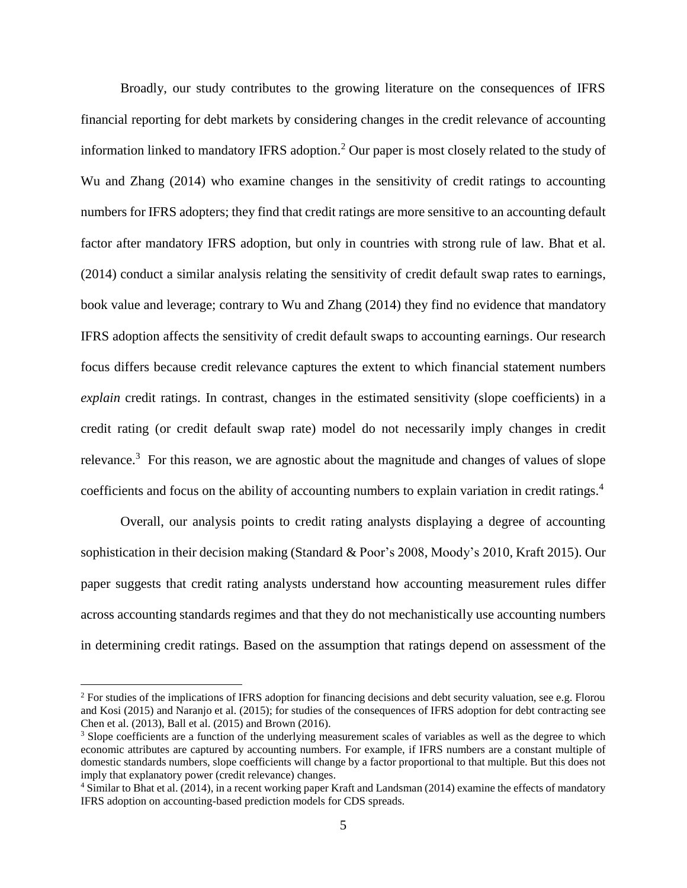Broadly, our study contributes to the growing literature on the consequences of IFRS financial reporting for debt markets by considering changes in the credit relevance of accounting information linked to mandatory IFRS adoption.<sup>2</sup> Our paper is most closely related to the study of Wu and Zhang (2014) who examine changes in the sensitivity of credit ratings to accounting numbers for IFRS adopters; they find that credit ratings are more sensitive to an accounting default factor after mandatory IFRS adoption, but only in countries with strong rule of law. Bhat et al. (2014) conduct a similar analysis relating the sensitivity of credit default swap rates to earnings, book value and leverage; contrary to Wu and Zhang (2014) they find no evidence that mandatory IFRS adoption affects the sensitivity of credit default swaps to accounting earnings. Our research focus differs because credit relevance captures the extent to which financial statement numbers *explain* credit ratings. In contrast, changes in the estimated sensitivity (slope coefficients) in a credit rating (or credit default swap rate) model do not necessarily imply changes in credit relevance.<sup>3</sup> For this reason, we are agnostic about the magnitude and changes of values of slope coefficients and focus on the ability of accounting numbers to explain variation in credit ratings.<sup>4</sup>

Overall, our analysis points to credit rating analysts displaying a degree of accounting sophistication in their decision making (Standard & Poor's 2008, Moody's 2010, Kraft 2015). Our paper suggests that credit rating analysts understand how accounting measurement rules differ across accounting standards regimes and that they do not mechanistically use accounting numbers in determining credit ratings. Based on the assumption that ratings depend on assessment of the

<u>.</u>

<sup>&</sup>lt;sup>2</sup> For studies of the implications of IFRS adoption for financing decisions and debt security valuation, see e.g. Florou and Kosi (2015) and Naranjo et al. (2015); for studies of the consequences of IFRS adoption for debt contracting see Chen et al. (2013), Ball et al. (2015) and Brown (2016).

<sup>&</sup>lt;sup>3</sup> Slope coefficients are a function of the underlying measurement scales of variables as well as the degree to which economic attributes are captured by accounting numbers. For example, if IFRS numbers are a constant multiple of domestic standards numbers, slope coefficients will change by a factor proportional to that multiple. But this does not imply that explanatory power (credit relevance) changes.

<sup>4</sup> Similar to Bhat et al. (2014), in a recent working paper Kraft and Landsman (2014) examine the effects of mandatory IFRS adoption on accounting-based prediction models for CDS spreads.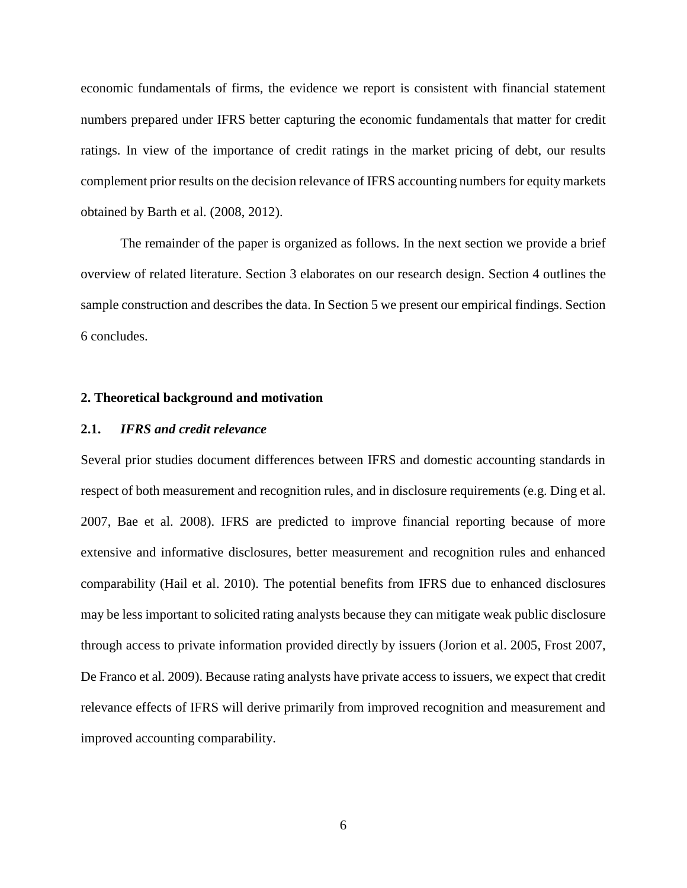economic fundamentals of firms, the evidence we report is consistent with financial statement numbers prepared under IFRS better capturing the economic fundamentals that matter for credit ratings. In view of the importance of credit ratings in the market pricing of debt, our results complement prior results on the decision relevance of IFRS accounting numbers for equity markets obtained by Barth et al. (2008, 2012).

The remainder of the paper is organized as follows. In the next section we provide a brief overview of related literature. Section 3 elaborates on our research design. Section 4 outlines the sample construction and describes the data. In Section 5 we present our empirical findings. Section 6 concludes.

#### **2. Theoretical background and motivation**

#### **2.1.** *IFRS and credit relevance*

Several prior studies document differences between IFRS and domestic accounting standards in respect of both measurement and recognition rules, and in disclosure requirements (e.g. Ding et al. 2007, Bae et al. 2008). IFRS are predicted to improve financial reporting because of more extensive and informative disclosures, better measurement and recognition rules and enhanced comparability (Hail et al. 2010). The potential benefits from IFRS due to enhanced disclosures may be less important to solicited rating analysts because they can mitigate weak public disclosure through access to private information provided directly by issuers (Jorion et al. 2005, Frost 2007, De Franco et al. 2009). Because rating analysts have private access to issuers, we expect that credit relevance effects of IFRS will derive primarily from improved recognition and measurement and improved accounting comparability.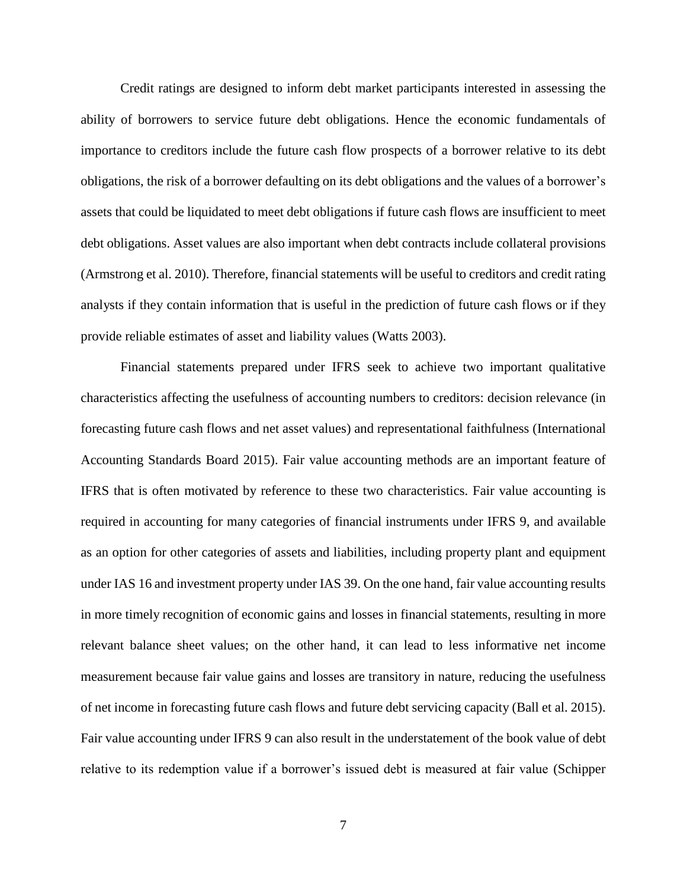Credit ratings are designed to inform debt market participants interested in assessing the ability of borrowers to service future debt obligations. Hence the economic fundamentals of importance to creditors include the future cash flow prospects of a borrower relative to its debt obligations, the risk of a borrower defaulting on its debt obligations and the values of a borrower's assets that could be liquidated to meet debt obligations if future cash flows are insufficient to meet debt obligations. Asset values are also important when debt contracts include collateral provisions (Armstrong et al. 2010). Therefore, financial statements will be useful to creditors and credit rating analysts if they contain information that is useful in the prediction of future cash flows or if they provide reliable estimates of asset and liability values (Watts 2003).

Financial statements prepared under IFRS seek to achieve two important qualitative characteristics affecting the usefulness of accounting numbers to creditors: decision relevance (in forecasting future cash flows and net asset values) and representational faithfulness (International Accounting Standards Board 2015). Fair value accounting methods are an important feature of IFRS that is often motivated by reference to these two characteristics. Fair value accounting is required in accounting for many categories of financial instruments under IFRS 9, and available as an option for other categories of assets and liabilities, including property plant and equipment under IAS 16 and investment property under IAS 39. On the one hand, fair value accounting results in more timely recognition of economic gains and losses in financial statements, resulting in more relevant balance sheet values; on the other hand, it can lead to less informative net income measurement because fair value gains and losses are transitory in nature, reducing the usefulness of net income in forecasting future cash flows and future debt servicing capacity (Ball et al. 2015). Fair value accounting under IFRS 9 can also result in the understatement of the book value of debt relative to its redemption value if a borrower's issued debt is measured at fair value (Schipper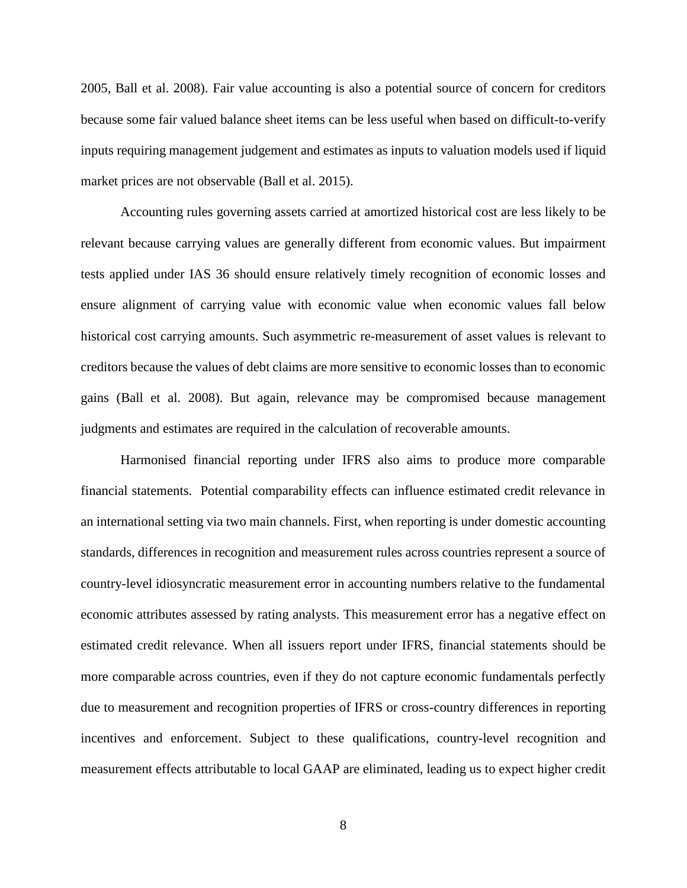2005, Ball et al. 2008). Fair value accounting is also a potential source of concern for creditors because some fair valued balance sheet items can be less useful when based on difficult-to-verify inputs requiring management judgement and estimates as inputs to valuation models used if liquid market prices are not observable (Ball et al. 2015).

Accounting rules governing assets carried at amortized historical cost are less likely to be relevant because carrying values are generally different from economic values. But impairment tests applied under IAS 36 should ensure relatively timely recognition of economic losses and ensure alignment of carrying value with economic value when economic values fall below historical cost carrying amounts. Such asymmetric re-measurement of asset values is relevant to creditors because the values of debt claims are more sensitive to economic losses than to economic gains (Ball et al. 2008). But again, relevance may be compromised because management judgments and estimates are required in the calculation of recoverable amounts.

Harmonised financial reporting under IFRS also aims to produce more comparable financial statements. Potential comparability effects can influence estimated credit relevance in an international setting via two main channels. First, when reporting is under domestic accounting standards, differences in recognition and measurement rules across countries represent a source of country-level idiosyncratic measurement error in accounting numbers relative to the fundamental economic attributes assessed by rating analysts. This measurement error has a negative effect on estimated credit relevance. When all issuers report under IFRS, financial statements should be more comparable across countries, even if they do not capture economic fundamentals perfectly due to measurement and recognition properties of IFRS or cross-country differences in reporting incentives and enforcement. Subject to these qualifications, country-level recognition and measurement effects attributable to local GAAP are eliminated, leading us to expect higher credit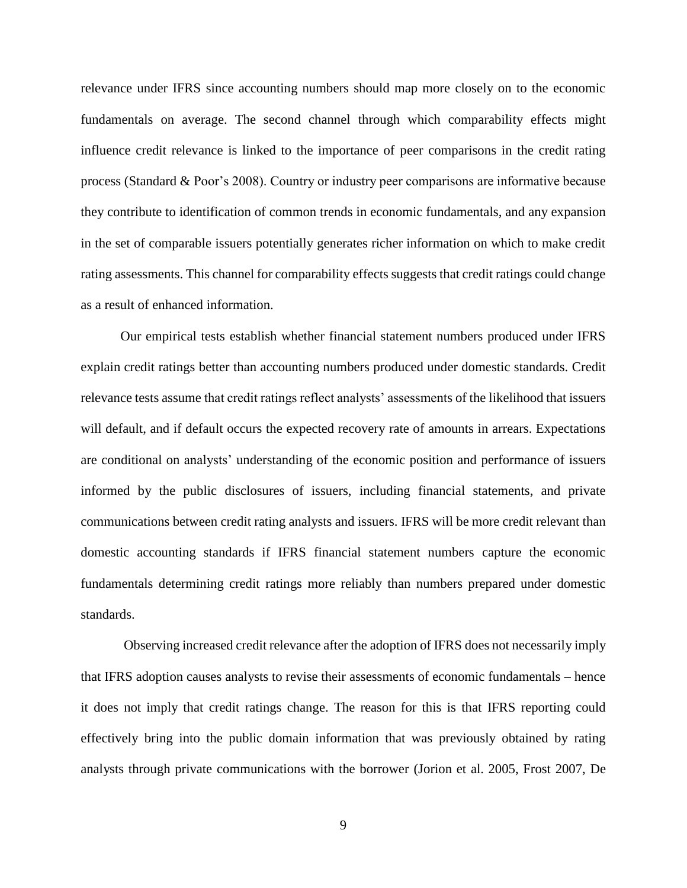relevance under IFRS since accounting numbers should map more closely on to the economic fundamentals on average. The second channel through which comparability effects might influence credit relevance is linked to the importance of peer comparisons in the credit rating process (Standard & Poor's 2008). Country or industry peer comparisons are informative because they contribute to identification of common trends in economic fundamentals, and any expansion in the set of comparable issuers potentially generates richer information on which to make credit rating assessments. This channel for comparability effects suggests that credit ratings could change as a result of enhanced information.

Our empirical tests establish whether financial statement numbers produced under IFRS explain credit ratings better than accounting numbers produced under domestic standards. Credit relevance tests assume that credit ratings reflect analysts' assessments of the likelihood that issuers will default, and if default occurs the expected recovery rate of amounts in arrears. Expectations are conditional on analysts' understanding of the economic position and performance of issuers informed by the public disclosures of issuers, including financial statements, and private communications between credit rating analysts and issuers. IFRS will be more credit relevant than domestic accounting standards if IFRS financial statement numbers capture the economic fundamentals determining credit ratings more reliably than numbers prepared under domestic standards.

Observing increased credit relevance after the adoption of IFRS does not necessarily imply that IFRS adoption causes analysts to revise their assessments of economic fundamentals – hence it does not imply that credit ratings change. The reason for this is that IFRS reporting could effectively bring into the public domain information that was previously obtained by rating analysts through private communications with the borrower (Jorion et al. 2005, Frost 2007, De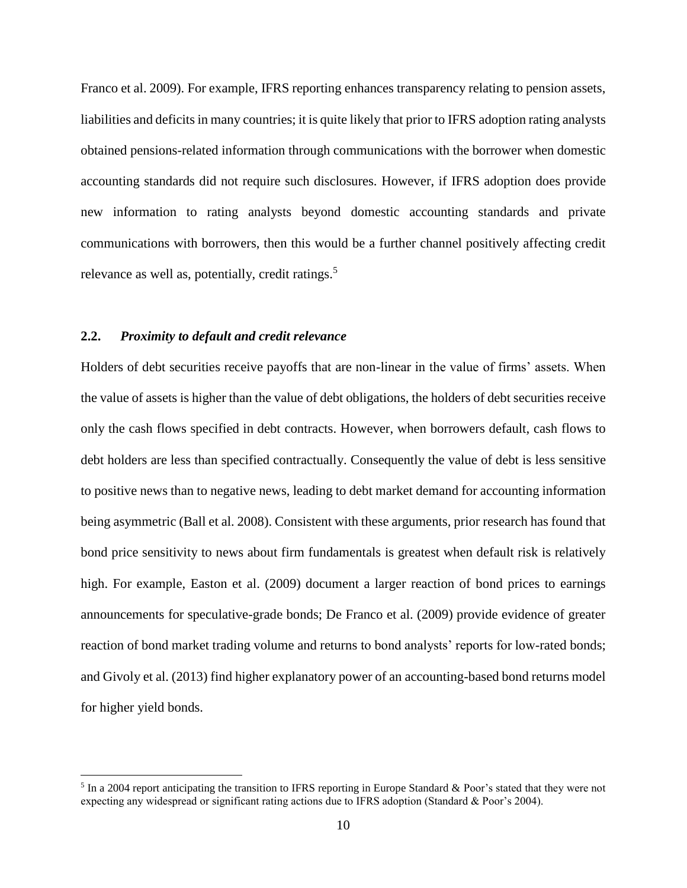Franco et al. 2009). For example, IFRS reporting enhances transparency relating to pension assets, liabilities and deficits in many countries; it is quite likely that prior to IFRS adoption rating analysts obtained pensions-related information through communications with the borrower when domestic accounting standards did not require such disclosures. However, if IFRS adoption does provide new information to rating analysts beyond domestic accounting standards and private communications with borrowers, then this would be a further channel positively affecting credit relevance as well as, potentially, credit ratings.<sup>5</sup>

#### **2.2.** *Proximity to default and credit relevance*

<u>.</u>

Holders of debt securities receive payoffs that are non-linear in the value of firms' assets. When the value of assets is higher than the value of debt obligations, the holders of debt securities receive only the cash flows specified in debt contracts. However, when borrowers default, cash flows to debt holders are less than specified contractually. Consequently the value of debt is less sensitive to positive news than to negative news, leading to debt market demand for accounting information being asymmetric (Ball et al. 2008). Consistent with these arguments, prior research has found that bond price sensitivity to news about firm fundamentals is greatest when default risk is relatively high. For example, Easton et al. (2009) document a larger reaction of bond prices to earnings announcements for speculative-grade bonds; De Franco et al. (2009) provide evidence of greater reaction of bond market trading volume and returns to bond analysts' reports for low-rated bonds; and Givoly et al. (2013) find higher explanatory power of an accounting-based bond returns model for higher yield bonds.

 $<sup>5</sup>$  In a 2004 report anticipating the transition to IFRS reporting in Europe Standard & Poor's stated that they were not</sup> expecting any widespread or significant rating actions due to IFRS adoption (Standard & Poor's 2004).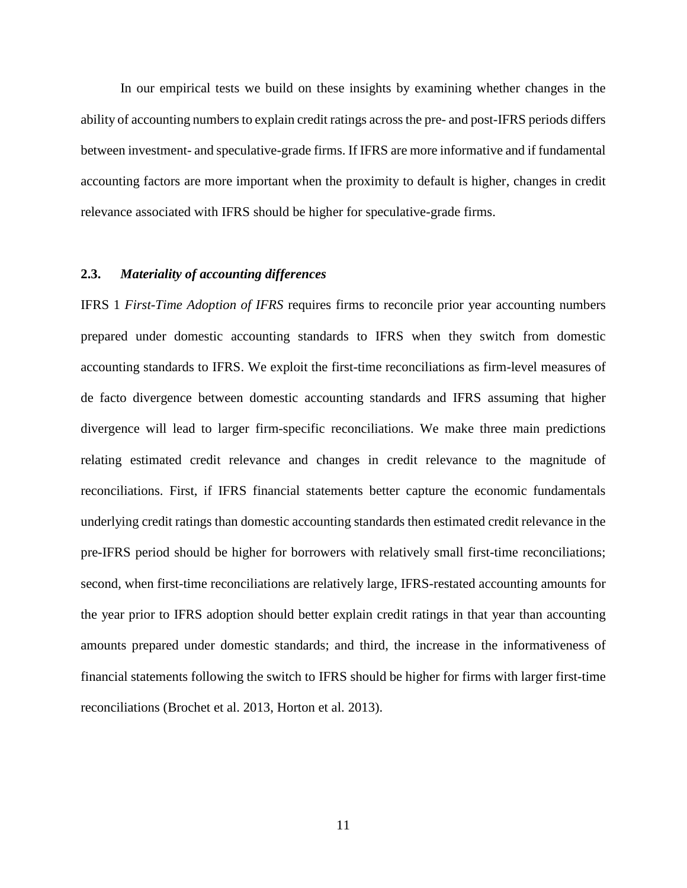In our empirical tests we build on these insights by examining whether changes in the ability of accounting numbers to explain credit ratings across the pre- and post-IFRS periods differs between investment- and speculative-grade firms. If IFRS are more informative and if fundamental accounting factors are more important when the proximity to default is higher, changes in credit relevance associated with IFRS should be higher for speculative-grade firms.

### **2.3.** *Materiality of accounting differences*

IFRS 1 *First-Time Adoption of IFRS* requires firms to reconcile prior year accounting numbers prepared under domestic accounting standards to IFRS when they switch from domestic accounting standards to IFRS. We exploit the first-time reconciliations as firm-level measures of de facto divergence between domestic accounting standards and IFRS assuming that higher divergence will lead to larger firm-specific reconciliations. We make three main predictions relating estimated credit relevance and changes in credit relevance to the magnitude of reconciliations. First, if IFRS financial statements better capture the economic fundamentals underlying credit ratings than domestic accounting standards then estimated credit relevance in the pre-IFRS period should be higher for borrowers with relatively small first-time reconciliations; second, when first-time reconciliations are relatively large, IFRS-restated accounting amounts for the year prior to IFRS adoption should better explain credit ratings in that year than accounting amounts prepared under domestic standards; and third, the increase in the informativeness of financial statements following the switch to IFRS should be higher for firms with larger first-time reconciliations (Brochet et al. 2013, Horton et al. 2013).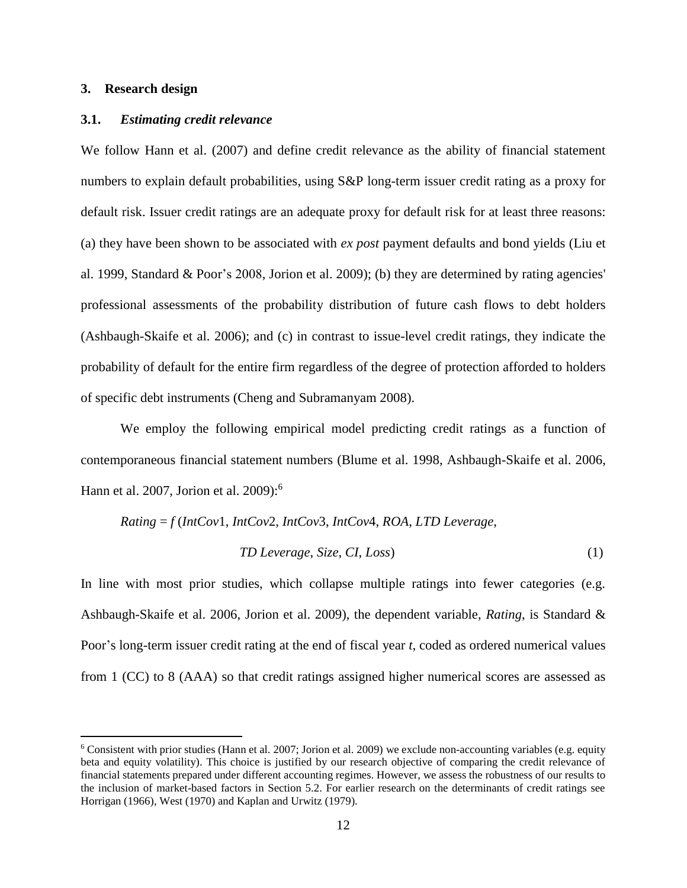#### **3. Research design**

<u>.</u>

#### **3.1.** *Estimating credit relevance*

We follow Hann et al. (2007) and define credit relevance as the ability of financial statement numbers to explain default probabilities, using S&P long-term issuer credit rating as a proxy for default risk. Issuer credit ratings are an adequate proxy for default risk for at least three reasons: (a) they have been shown to be associated with *ex post* payment defaults and bond yields (Liu et al. 1999, Standard & Poor's 2008, Jorion et al. 2009); (b) they are determined by rating agencies' professional assessments of the probability distribution of future cash flows to debt holders (Ashbaugh-Skaife et al. 2006); and (c) in contrast to issue-level credit ratings, they indicate the probability of default for the entire firm regardless of the degree of protection afforded to holders of specific debt instruments (Cheng and Subramanyam 2008).

We employ the following empirical model predicting credit ratings as a function of contemporaneous financial statement numbers (Blume et al. 1998, Ashbaugh-Skaife et al. 2006, Hann et al. 2007, Jorion et al. 2009): 6

$$
Rating = f(IntCov1, IntCov2, IntCov3, IntCov4, ROA, LTD \text{Leverage},
$$

#### *TD Leverage*, *Size*, *CI*, *Loss*) (1)

In line with most prior studies, which collapse multiple ratings into fewer categories (e.g. Ashbaugh-Skaife et al. 2006, Jorion et al. 2009), the dependent variable, *Rating*, is Standard & Poor's long-term issuer credit rating at the end of fiscal year *t*, coded as ordered numerical values from 1 (CC) to 8 (AAA) so that credit ratings assigned higher numerical scores are assessed as

 $6$  Consistent with prior studies (Hann et al. 2007; Jorion et al. 2009) we exclude non-accounting variables (e.g. equity beta and equity volatility). This choice is justified by our research objective of comparing the credit relevance of financial statements prepared under different accounting regimes. However, we assess the robustness of our results to the inclusion of market-based factors in Section 5.2. For earlier research on the determinants of credit ratings see Horrigan (1966), West (1970) and Kaplan and Urwitz (1979).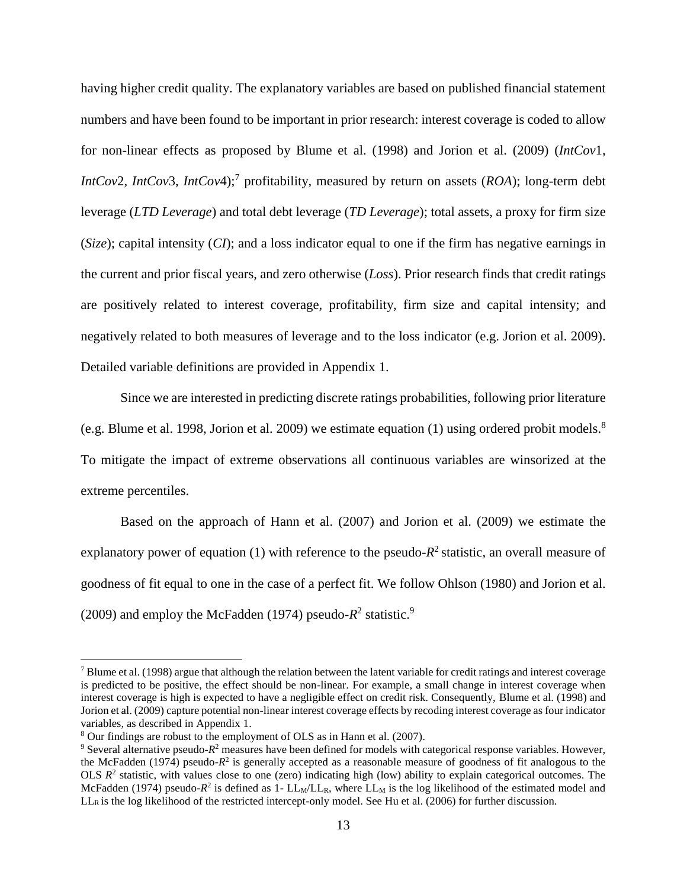having higher credit quality. The explanatory variables are based on published financial statement numbers and have been found to be important in prior research: interest coverage is coded to allow for non-linear effects as proposed by Blume et al. (1998) and Jorion et al. (2009) (*IntCov*1, *IntCov*2, *IntCov*3, *IntCov*4); 7 profitability, measured by return on assets (*ROA*); long-term debt leverage (*LTD Leverage*) and total debt leverage (*TD Leverage*); total assets, a proxy for firm size (*Size*); capital intensity (*CI*); and a loss indicator equal to one if the firm has negative earnings in the current and prior fiscal years, and zero otherwise (*Loss*). Prior research finds that credit ratings are positively related to interest coverage, profitability, firm size and capital intensity; and negatively related to both measures of leverage and to the loss indicator (e.g. Jorion et al. 2009). Detailed variable definitions are provided in Appendix 1.

Since we are interested in predicting discrete ratings probabilities, following prior literature (e.g. Blume et al. 1998, Jorion et al. 2009) we estimate equation (1) using ordered probit models. 8 To mitigate the impact of extreme observations all continuous variables are winsorized at the extreme percentiles.

Based on the approach of Hann et al. (2007) and Jorion et al. (2009) we estimate the explanatory power of equation  $(1)$  with reference to the pseudo- $R^2$  statistic, an overall measure of goodness of fit equal to one in the case of a perfect fit. We follow Ohlson (1980) and Jorion et al. (2009) and employ the McFadden (1974) pseudo- $R^2$  statistic.<sup>9</sup>

<u>.</u>

 $<sup>7</sup>$  Blume et al. (1998) argue that although the relation between the latent variable for credit ratings and interest coverage</sup> is predicted to be positive, the effect should be non-linear. For example, a small change in interest coverage when interest coverage is high is expected to have a negligible effect on credit risk. Consequently, Blume et al. (1998) and Jorion et al. (2009) capture potential non-linear interest coverage effects by recoding interest coverage as four indicator variables, as described in Appendix 1.

<sup>8</sup> Our findings are robust to the employment of OLS as in Hann et al. (2007).

<sup>&</sup>lt;sup>9</sup> Several alternative pseudo- $R^2$  measures have been defined for models with categorical response variables. However, the McFadden (1974) pseudo- $R^2$  is generally accepted as a reasonable measure of goodness of fit analogous to the OLS  $R<sup>2</sup>$  statistic, with values close to one (zero) indicating high (low) ability to explain categorical outcomes. The McFadden (1974) pseudo- $R^2$  is defined as 1-  $LL_M/L_R$ , where  $LL_M$  is the log likelihood of the estimated model and LL<sub>R</sub> is the log likelihood of the restricted intercept-only model. See Hu et al. (2006) for further discussion.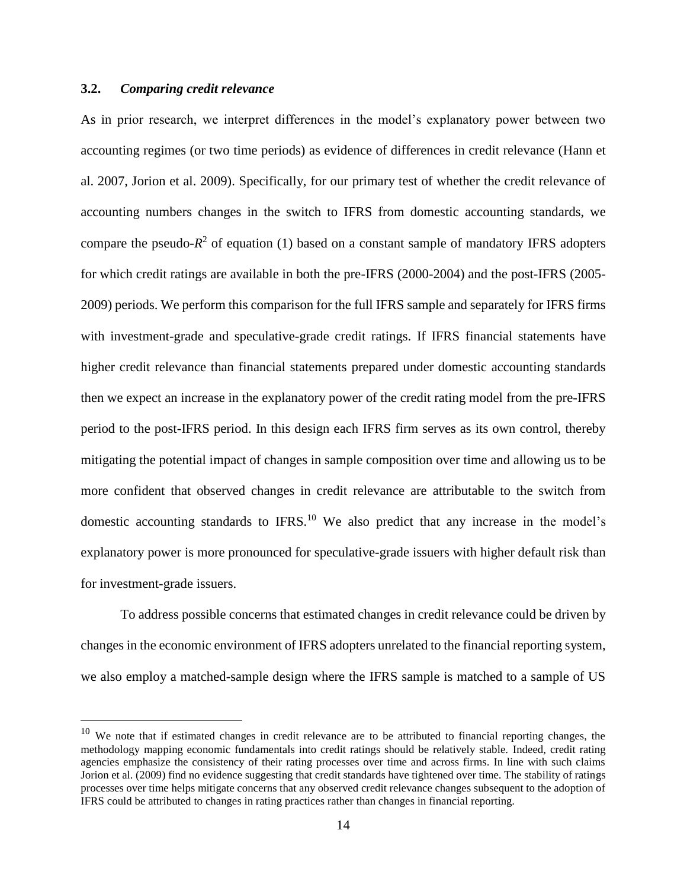### **3.2.** *Comparing credit relevance*

1

As in prior research, we interpret differences in the model's explanatory power between two accounting regimes (or two time periods) as evidence of differences in credit relevance (Hann et al. 2007, Jorion et al. 2009). Specifically, for our primary test of whether the credit relevance of accounting numbers changes in the switch to IFRS from domestic accounting standards, we compare the pseudo- $R^2$  of equation (1) based on a constant sample of mandatory IFRS adopters for which credit ratings are available in both the pre-IFRS (2000-2004) and the post-IFRS (2005- 2009) periods. We perform this comparison for the full IFRS sample and separately for IFRS firms with investment-grade and speculative-grade credit ratings. If IFRS financial statements have higher credit relevance than financial statements prepared under domestic accounting standards then we expect an increase in the explanatory power of the credit rating model from the pre-IFRS period to the post-IFRS period. In this design each IFRS firm serves as its own control, thereby mitigating the potential impact of changes in sample composition over time and allowing us to be more confident that observed changes in credit relevance are attributable to the switch from domestic accounting standards to IFRS.<sup>10</sup> We also predict that any increase in the model's explanatory power is more pronounced for speculative-grade issuers with higher default risk than for investment-grade issuers.

To address possible concerns that estimated changes in credit relevance could be driven by changes in the economic environment of IFRS adopters unrelated to the financial reporting system, we also employ a matched-sample design where the IFRS sample is matched to a sample of US

 $10$  We note that if estimated changes in credit relevance are to be attributed to financial reporting changes, the methodology mapping economic fundamentals into credit ratings should be relatively stable. Indeed, credit rating agencies emphasize the consistency of their rating processes over time and across firms. In line with such claims Jorion et al. (2009) find no evidence suggesting that credit standards have tightened over time. The stability of ratings processes over time helps mitigate concerns that any observed credit relevance changes subsequent to the adoption of IFRS could be attributed to changes in rating practices rather than changes in financial reporting.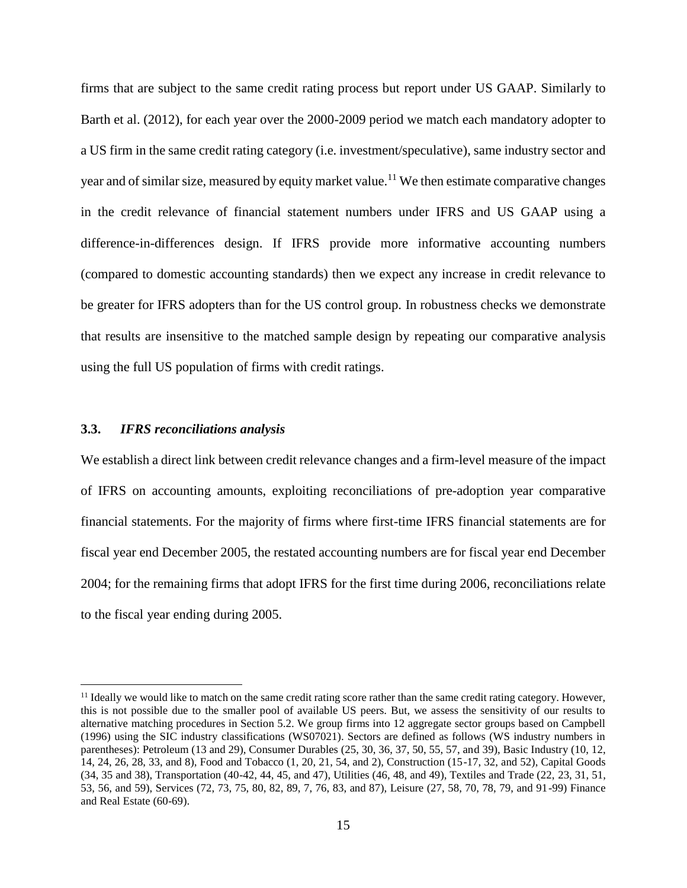firms that are subject to the same credit rating process but report under US GAAP. Similarly to Barth et al. (2012), for each year over the 2000-2009 period we match each mandatory adopter to a US firm in the same credit rating category (i.e. investment/speculative), same industry sector and year and of similar size, measured by equity market value.<sup>11</sup> We then estimate comparative changes in the credit relevance of financial statement numbers under IFRS and US GAAP using a difference-in-differences design. If IFRS provide more informative accounting numbers (compared to domestic accounting standards) then we expect any increase in credit relevance to be greater for IFRS adopters than for the US control group. In robustness checks we demonstrate that results are insensitive to the matched sample design by repeating our comparative analysis using the full US population of firms with credit ratings.

#### **3.3.** *IFRS reconciliations analysis*

<u>.</u>

We establish a direct link between credit relevance changes and a firm-level measure of the impact of IFRS on accounting amounts, exploiting reconciliations of pre-adoption year comparative financial statements. For the majority of firms where first-time IFRS financial statements are for fiscal year end December 2005, the restated accounting numbers are for fiscal year end December 2004; for the remaining firms that adopt IFRS for the first time during 2006, reconciliations relate to the fiscal year ending during 2005.

 $<sup>11</sup>$  Ideally we would like to match on the same credit rating score rather than the same credit rating category. However,</sup> this is not possible due to the smaller pool of available US peers. But, we assess the sensitivity of our results to alternative matching procedures in Section 5.2. We group firms into 12 aggregate sector groups based on Campbell (1996) using the SIC industry classifications (WS07021). Sectors are defined as follows (WS industry numbers in parentheses): Petroleum (13 and 29), Consumer Durables (25, 30, 36, 37, 50, 55, 57, and 39), Basic Industry (10, 12, 14, 24, 26, 28, 33, and 8), Food and Tobacco (1, 20, 21, 54, and 2), Construction (15-17, 32, and 52), Capital Goods (34, 35 and 38), Transportation (40-42, 44, 45, and 47), Utilities (46, 48, and 49), Textiles and Trade (22, 23, 31, 51, 53, 56, and 59), Services (72, 73, 75, 80, 82, 89, 7, 76, 83, and 87), Leisure (27, 58, 70, 78, 79, and 91-99) Finance and Real Estate (60-69).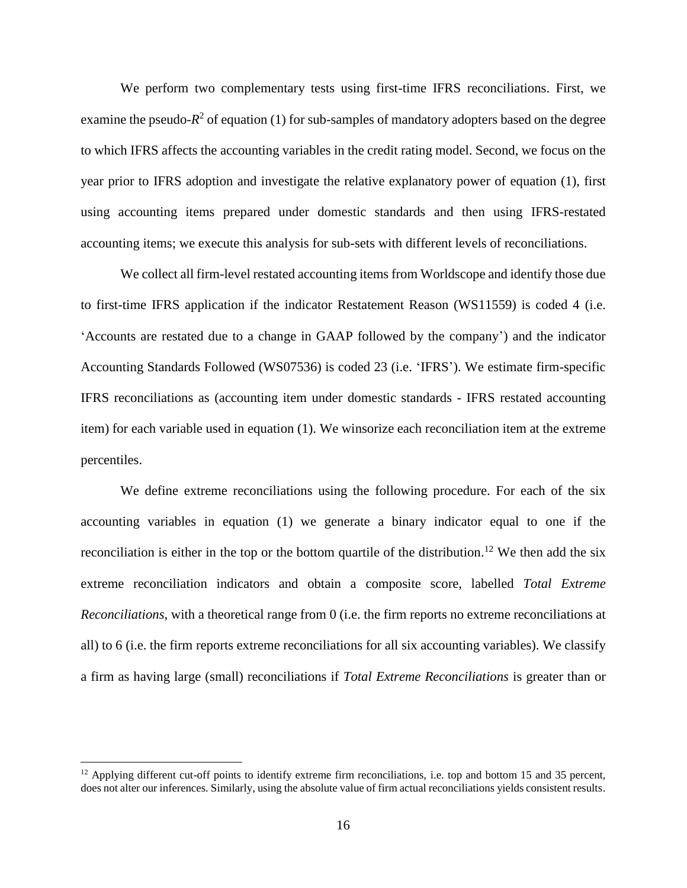We perform two complementary tests using first-time IFRS reconciliations. First, we examine the pseudo- $R^2$  of equation (1) for sub-samples of mandatory adopters based on the degree to which IFRS affects the accounting variables in the credit rating model. Second, we focus on the year prior to IFRS adoption and investigate the relative explanatory power of equation (1), first using accounting items prepared under domestic standards and then using IFRS-restated accounting items; we execute this analysis for sub-sets with different levels of reconciliations.

We collect all firm-level restated accounting items from Worldscope and identify those due to first-time IFRS application if the indicator Restatement Reason (WS11559) is coded 4 (i.e. 'Accounts are restated due to a change in GAAP followed by the company') and the indicator Accounting Standards Followed (WS07536) is coded 23 (i.e. 'IFRS'). We estimate firm-specific IFRS reconciliations as (accounting item under domestic standards - IFRS restated accounting item) for each variable used in equation (1). We winsorize each reconciliation item at the extreme percentiles.

We define extreme reconciliations using the following procedure. For each of the six accounting variables in equation (1) we generate a binary indicator equal to one if the reconciliation is either in the top or the bottom quartile of the distribution.<sup>12</sup> We then add the six extreme reconciliation indicators and obtain a composite score, labelled *Total Extreme Reconciliations*, with a theoretical range from 0 (i.e. the firm reports no extreme reconciliations at all) to 6 (i.e. the firm reports extreme reconciliations for all six accounting variables). We classify a firm as having large (small) reconciliations if *Total Extreme Reconciliations* is greater than or

<u>.</u>

 $12$  Applying different cut-off points to identify extreme firm reconciliations, i.e. top and bottom 15 and 35 percent, does not alter our inferences. Similarly, using the absolute value of firm actual reconciliations yields consistent results.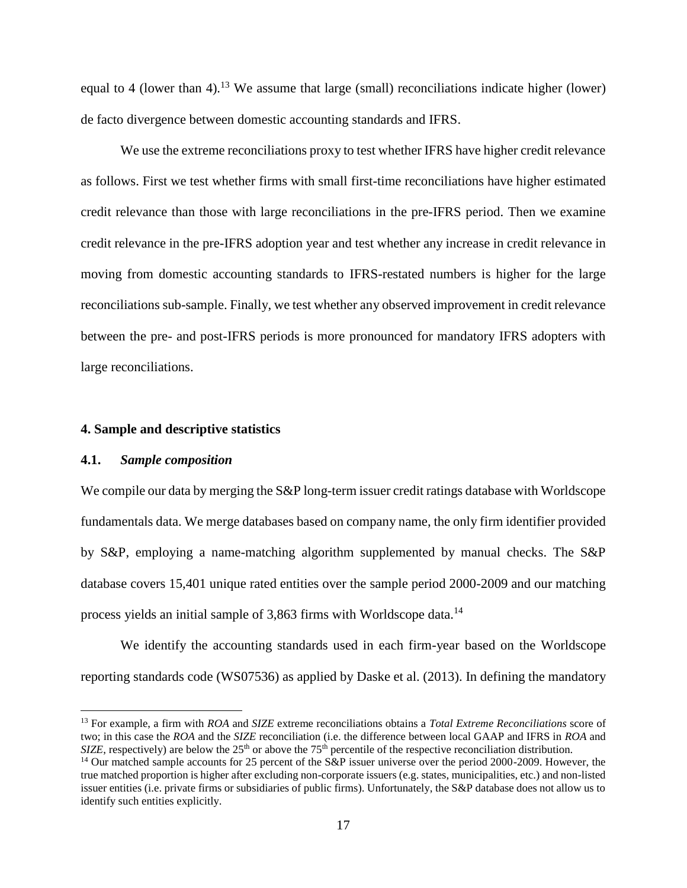equal to 4 (lower than 4).<sup>13</sup> We assume that large (small) reconciliations indicate higher (lower) de facto divergence between domestic accounting standards and IFRS.

We use the extreme reconciliations proxy to test whether IFRS have higher credit relevance as follows. First we test whether firms with small first-time reconciliations have higher estimated credit relevance than those with large reconciliations in the pre-IFRS period. Then we examine credit relevance in the pre-IFRS adoption year and test whether any increase in credit relevance in moving from domestic accounting standards to IFRS-restated numbers is higher for the large reconciliations sub-sample. Finally, we test whether any observed improvement in credit relevance between the pre- and post-IFRS periods is more pronounced for mandatory IFRS adopters with large reconciliations.

#### **4. Sample and descriptive statistics**

#### **4.1.** *Sample composition*

<u>.</u>

We compile our data by merging the S&P long-term issuer credit ratings database with Worldscope fundamentals data. We merge databases based on company name, the only firm identifier provided by S&P, employing a name-matching algorithm supplemented by manual checks. The S&P database covers 15,401 unique rated entities over the sample period 2000-2009 and our matching process yields an initial sample of 3,863 firms with Worldscope data.<sup>14</sup>

We identify the accounting standards used in each firm-year based on the Worldscope reporting standards code (WS07536) as applied by Daske et al. (2013). In defining the mandatory

<sup>13</sup> For example, a firm with *ROA* and *SIZE* extreme reconciliations obtains a *Total Extreme Reconciliations* score of two; in this case the *ROA* and the *SIZE* reconciliation (i.e. the difference between local GAAP and IFRS in *ROA* and *SIZE*, respectively) are below the  $25<sup>th</sup>$  or above the  $75<sup>th</sup>$  percentile of the respective reconciliation distribution.

<sup>&</sup>lt;sup>14</sup> Our matched sample accounts for 25 percent of the S&P issuer universe over the period 2000-2009. However, the true matched proportion is higher after excluding non-corporate issuers (e.g. states, municipalities, etc.) and non-listed issuer entities (i.e. private firms or subsidiaries of public firms). Unfortunately, the S&P database does not allow us to identify such entities explicitly.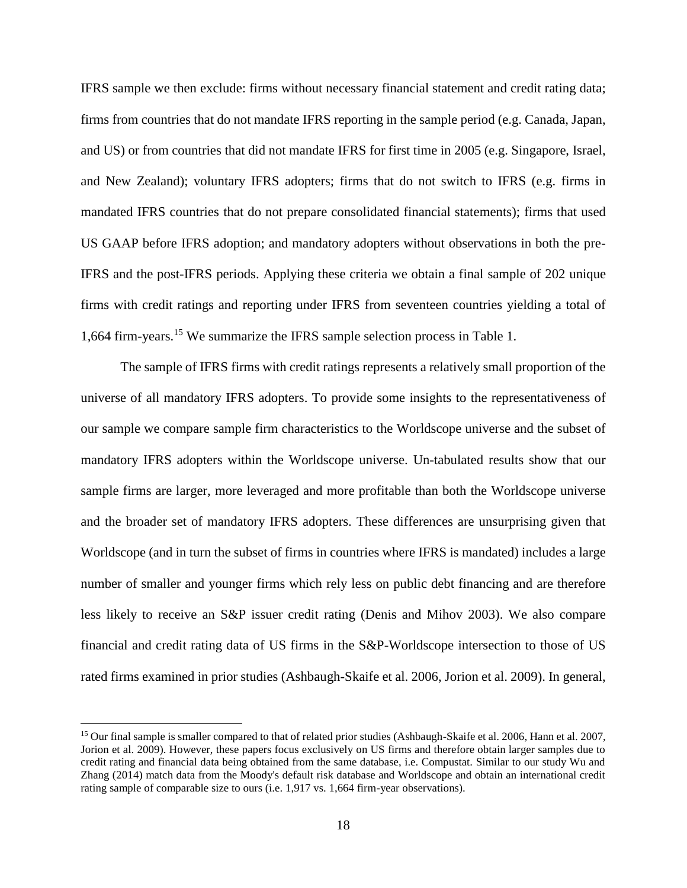IFRS sample we then exclude: firms without necessary financial statement and credit rating data; firms from countries that do not mandate IFRS reporting in the sample period (e.g. Canada, Japan, and US) or from countries that did not mandate IFRS for first time in 2005 (e.g. Singapore, Israel, and New Zealand); voluntary IFRS adopters; firms that do not switch to IFRS (e.g. firms in mandated IFRS countries that do not prepare consolidated financial statements); firms that used US GAAP before IFRS adoption; and mandatory adopters without observations in both the pre-IFRS and the post-IFRS periods. Applying these criteria we obtain a final sample of 202 unique firms with credit ratings and reporting under IFRS from seventeen countries yielding a total of 1,664 firm-years.<sup>15</sup> We summarize the IFRS sample selection process in Table 1.

The sample of IFRS firms with credit ratings represents a relatively small proportion of the universe of all mandatory IFRS adopters. To provide some insights to the representativeness of our sample we compare sample firm characteristics to the Worldscope universe and the subset of mandatory IFRS adopters within the Worldscope universe. Un-tabulated results show that our sample firms are larger, more leveraged and more profitable than both the Worldscope universe and the broader set of mandatory IFRS adopters. These differences are unsurprising given that Worldscope (and in turn the subset of firms in countries where IFRS is mandated) includes a large number of smaller and younger firms which rely less on public debt financing and are therefore less likely to receive an S&P issuer credit rating (Denis and Mihov 2003). We also compare financial and credit rating data of US firms in the S&P-Worldscope intersection to those of US rated firms examined in prior studies (Ashbaugh-Skaife et al. 2006, Jorion et al. 2009). In general,

1

<sup>&</sup>lt;sup>15</sup> Our final sample is smaller compared to that of related prior studies (Ashbaugh-Skaife et al. 2006, Hann et al. 2007, Jorion et al. 2009). However, these papers focus exclusively on US firms and therefore obtain larger samples due to credit rating and financial data being obtained from the same database, i.e. Compustat. Similar to our study Wu and Zhang (2014) match data from the Moody's default risk database and Worldscope and obtain an international credit rating sample of comparable size to ours (i.e. 1,917 vs. 1,664 firm-year observations).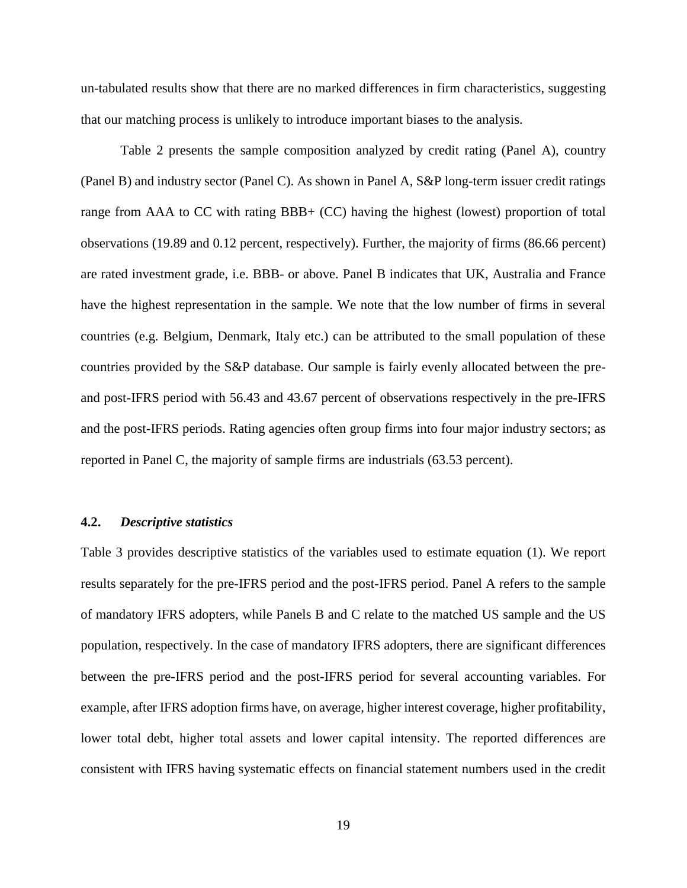un-tabulated results show that there are no marked differences in firm characteristics, suggesting that our matching process is unlikely to introduce important biases to the analysis.

Table 2 presents the sample composition analyzed by credit rating (Panel A), country (Panel B) and industry sector (Panel C). As shown in Panel A, S&P long-term issuer credit ratings range from AAA to CC with rating BBB+ (CC) having the highest (lowest) proportion of total observations (19.89 and 0.12 percent, respectively). Further, the majority of firms (86.66 percent) are rated investment grade, i.e. BBB- or above. Panel B indicates that UK, Australia and France have the highest representation in the sample. We note that the low number of firms in several countries (e.g. Belgium, Denmark, Italy etc.) can be attributed to the small population of these countries provided by the S&P database. Our sample is fairly evenly allocated between the preand post-IFRS period with 56.43 and 43.67 percent of observations respectively in the pre-IFRS and the post-IFRS periods. Rating agencies often group firms into four major industry sectors; as reported in Panel C, the majority of sample firms are industrials (63.53 percent).

#### **4.2.** *Descriptive statistics*

Table 3 provides descriptive statistics of the variables used to estimate equation (1). We report results separately for the pre-IFRS period and the post-IFRS period. Panel A refers to the sample of mandatory IFRS adopters, while Panels B and C relate to the matched US sample and the US population, respectively. In the case of mandatory IFRS adopters, there are significant differences between the pre-IFRS period and the post-IFRS period for several accounting variables. For example, after IFRS adoption firms have, on average, higher interest coverage, higher profitability, lower total debt, higher total assets and lower capital intensity. The reported differences are consistent with IFRS having systematic effects on financial statement numbers used in the credit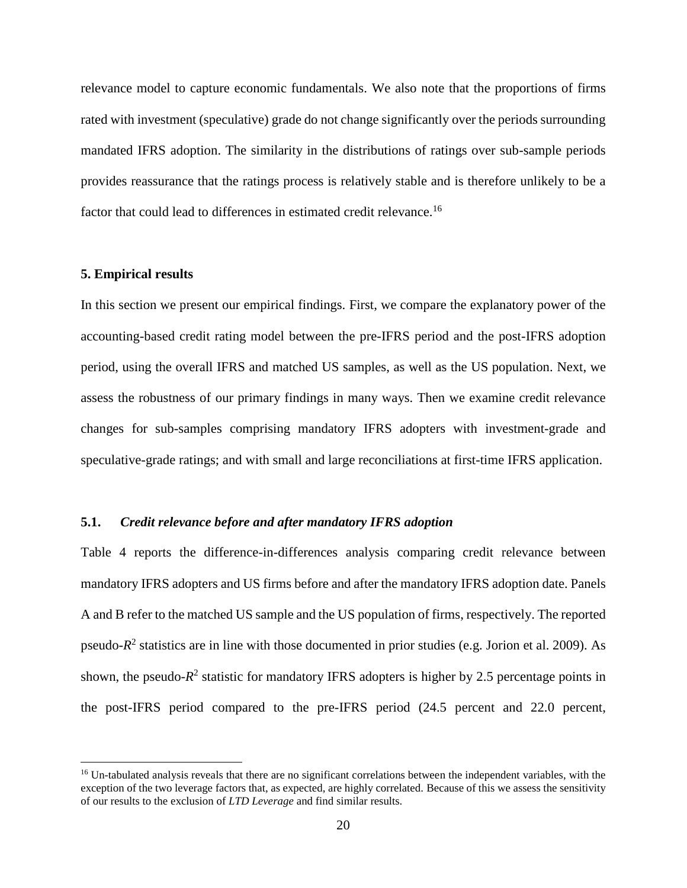relevance model to capture economic fundamentals. We also note that the proportions of firms rated with investment (speculative) grade do not change significantly over the periods surrounding mandated IFRS adoption. The similarity in the distributions of ratings over sub-sample periods provides reassurance that the ratings process is relatively stable and is therefore unlikely to be a factor that could lead to differences in estimated credit relevance.<sup>16</sup>

#### **5. Empirical results**

<u>.</u>

In this section we present our empirical findings. First, we compare the explanatory power of the accounting-based credit rating model between the pre-IFRS period and the post-IFRS adoption period, using the overall IFRS and matched US samples, as well as the US population. Next, we assess the robustness of our primary findings in many ways. Then we examine credit relevance changes for sub-samples comprising mandatory IFRS adopters with investment-grade and speculative-grade ratings; and with small and large reconciliations at first-time IFRS application.

#### **5.1.** *Credit relevance before and after mandatory IFRS adoption*

Table 4 reports the difference-in-differences analysis comparing credit relevance between mandatory IFRS adopters and US firms before and after the mandatory IFRS adoption date. Panels A and B refer to the matched US sample and the US population of firms, respectively. The reported pseudo- $R^2$  statistics are in line with those documented in prior studies (e.g. Jorion et al. 2009). As shown, the pseudo- $R<sup>2</sup>$  statistic for mandatory IFRS adopters is higher by 2.5 percentage points in the post-IFRS period compared to the pre-IFRS period (24.5 percent and 22.0 percent,

<sup>&</sup>lt;sup>16</sup> Un-tabulated analysis reveals that there are no significant correlations between the independent variables, with the exception of the two leverage factors that, as expected, are highly correlated. Because of this we assess the sensitivity of our results to the exclusion of *LTD Leverage* and find similar results.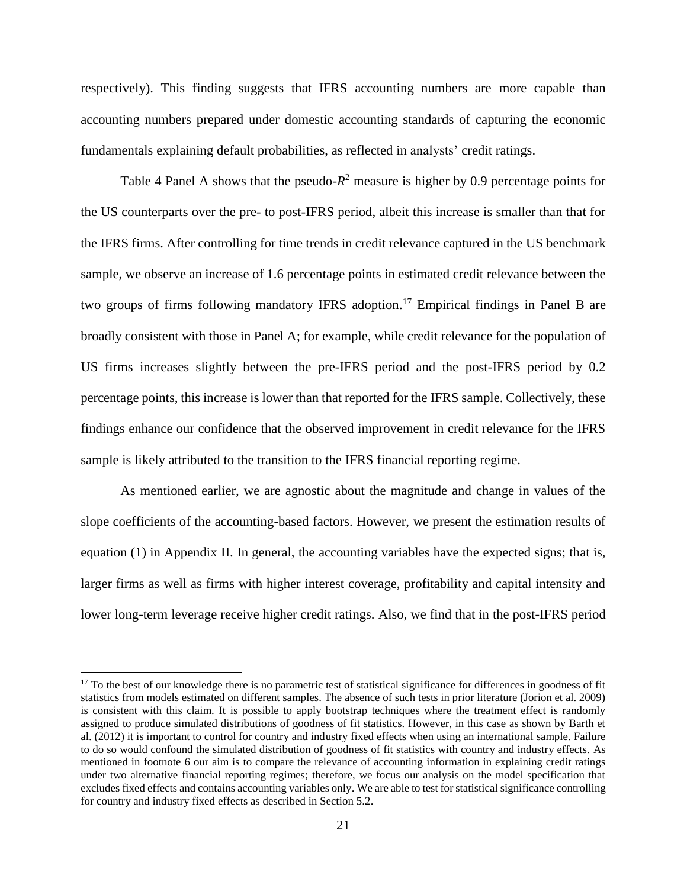respectively). This finding suggests that IFRS accounting numbers are more capable than accounting numbers prepared under domestic accounting standards of capturing the economic fundamentals explaining default probabilities, as reflected in analysts' credit ratings.

Table 4 Panel A shows that the pseudo- $R^2$  measure is higher by 0.9 percentage points for the US counterparts over the pre- to post-IFRS period, albeit this increase is smaller than that for the IFRS firms. After controlling for time trends in credit relevance captured in the US benchmark sample, we observe an increase of 1.6 percentage points in estimated credit relevance between the two groups of firms following mandatory IFRS adoption. <sup>17</sup> Empirical findings in Panel B are broadly consistent with those in Panel A; for example, while credit relevance for the population of US firms increases slightly between the pre-IFRS period and the post-IFRS period by 0.2 percentage points, this increase is lower than that reported for the IFRS sample. Collectively, these findings enhance our confidence that the observed improvement in credit relevance for the IFRS sample is likely attributed to the transition to the IFRS financial reporting regime.

As mentioned earlier, we are agnostic about the magnitude and change in values of the slope coefficients of the accounting-based factors. However, we present the estimation results of equation (1) in Appendix II. In general, the accounting variables have the expected signs; that is, larger firms as well as firms with higher interest coverage, profitability and capital intensity and lower long-term leverage receive higher credit ratings. Also, we find that in the post-IFRS period

<u>.</u>

 $17$  To the best of our knowledge there is no parametric test of statistical significance for differences in goodness of fit statistics from models estimated on different samples. The absence of such tests in prior literature (Jorion et al. 2009) is consistent with this claim. It is possible to apply bootstrap techniques where the treatment effect is randomly assigned to produce simulated distributions of goodness of fit statistics. However, in this case as shown by Barth et al. (2012) it is important to control for country and industry fixed effects when using an international sample. Failure to do so would confound the simulated distribution of goodness of fit statistics with country and industry effects. As mentioned in footnote 6 our aim is to compare the relevance of accounting information in explaining credit ratings under two alternative financial reporting regimes; therefore, we focus our analysis on the model specification that excludes fixed effects and contains accounting variables only. We are able to test for statistical significance controlling for country and industry fixed effects as described in Section 5.2.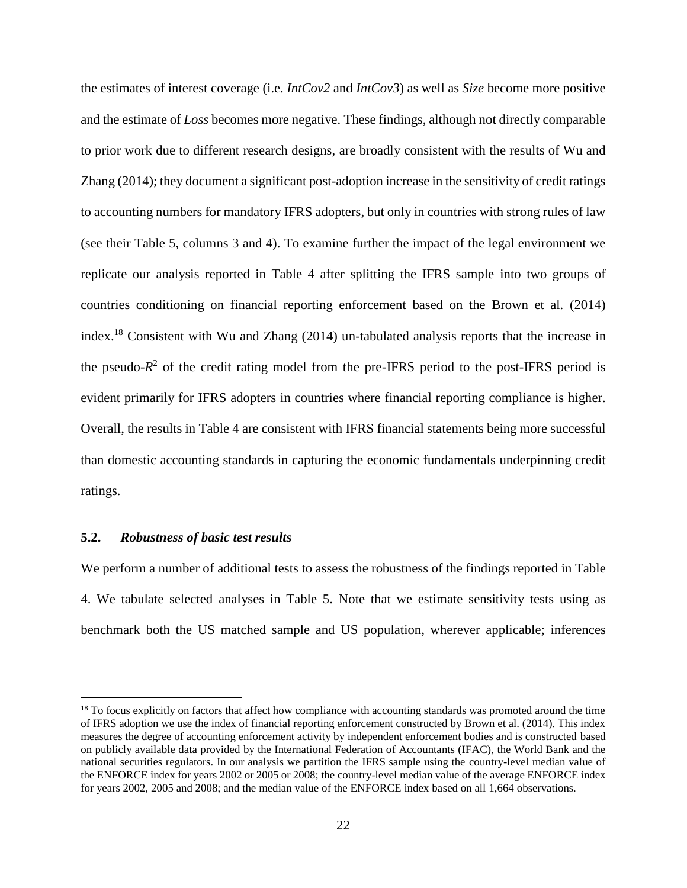the estimates of interest coverage (i.e. *IntCov2* and *IntCov3*) as well as *Size* become more positive and the estimate of *Loss* becomes more negative. These findings, although not directly comparable to prior work due to different research designs, are broadly consistent with the results of Wu and Zhang (2014); they document a significant post-adoption increase in the sensitivity of credit ratings to accounting numbers for mandatory IFRS adopters, but only in countries with strong rules of law (see their Table 5, columns 3 and 4). To examine further the impact of the legal environment we replicate our analysis reported in Table 4 after splitting the IFRS sample into two groups of countries conditioning on financial reporting enforcement based on the Brown et al. (2014) index. <sup>18</sup> Consistent with Wu and Zhang (2014) un-tabulated analysis reports that the increase in the pseudo- $R<sup>2</sup>$  of the credit rating model from the pre-IFRS period to the post-IFRS period is evident primarily for IFRS adopters in countries where financial reporting compliance is higher. Overall, the results in Table 4 are consistent with IFRS financial statements being more successful than domestic accounting standards in capturing the economic fundamentals underpinning credit ratings.

#### **5.2.** *Robustness of basic test results*

<u>.</u>

We perform a number of additional tests to assess the robustness of the findings reported in Table 4. We tabulate selected analyses in Table 5. Note that we estimate sensitivity tests using as benchmark both the US matched sample and US population, wherever applicable; inferences

<sup>&</sup>lt;sup>18</sup> To focus explicitly on factors that affect how compliance with accounting standards was promoted around the time of IFRS adoption we use the index of financial reporting enforcement constructed by Brown et al. (2014). This index measures the degree of accounting enforcement activity by independent enforcement bodies and is constructed based on publicly available data provided by the International Federation of Accountants (IFAC), the World Bank and the national securities regulators. In our analysis we partition the IFRS sample using the country-level median value of the ENFORCE index for years 2002 or 2005 or 2008; the country-level median value of the average ENFORCE index for years 2002, 2005 and 2008; and the median value of the ENFORCE index based on all 1,664 observations.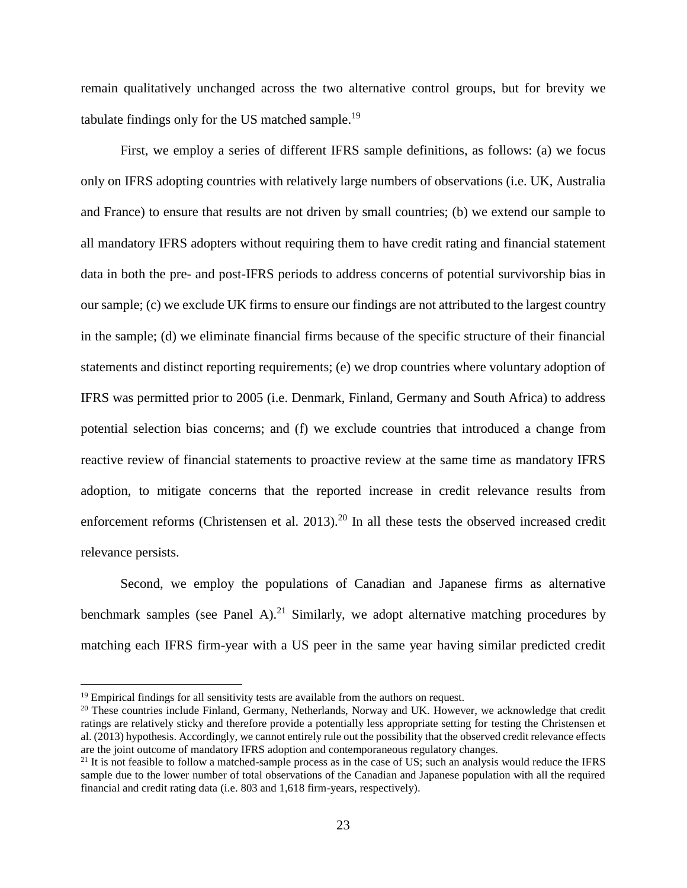remain qualitatively unchanged across the two alternative control groups, but for brevity we tabulate findings only for the US matched sample.<sup>19</sup>

First, we employ a series of different IFRS sample definitions, as follows: (a) we focus only on IFRS adopting countries with relatively large numbers of observations (i.e. UK, Australia and France) to ensure that results are not driven by small countries; (b) we extend our sample to all mandatory IFRS adopters without requiring them to have credit rating and financial statement data in both the pre- and post-IFRS periods to address concerns of potential survivorship bias in our sample; (c) we exclude UK firms to ensure our findings are not attributed to the largest country in the sample; (d) we eliminate financial firms because of the specific structure of their financial statements and distinct reporting requirements; (e) we drop countries where voluntary adoption of IFRS was permitted prior to 2005 (i.e. Denmark, Finland, Germany and South Africa) to address potential selection bias concerns; and (f) we exclude countries that introduced a change from reactive review of financial statements to proactive review at the same time as mandatory IFRS adoption, to mitigate concerns that the reported increase in credit relevance results from enforcement reforms (Christensen et al. 2013).<sup>20</sup> In all these tests the observed increased credit relevance persists.

Second, we employ the populations of Canadian and Japanese firms as alternative benchmark samples (see Panel A).<sup>21</sup> Similarly, we adopt alternative matching procedures by matching each IFRS firm-year with a US peer in the same year having similar predicted credit

<u>.</u>

 $19$  Empirical findings for all sensitivity tests are available from the authors on request.

<sup>&</sup>lt;sup>20</sup> These countries include Finland, Germany, Netherlands, Norway and UK. However, we acknowledge that credit ratings are relatively sticky and therefore provide a potentially less appropriate setting for testing the Christensen et al. (2013) hypothesis. Accordingly, we cannot entirely rule out the possibility that the observed credit relevance effects are the joint outcome of mandatory IFRS adoption and contemporaneous regulatory changes.

 $21$  It is not feasible to follow a matched-sample process as in the case of US; such an analysis would reduce the IFRS sample due to the lower number of total observations of the Canadian and Japanese population with all the required financial and credit rating data (i.e. 803 and 1,618 firm-years, respectively).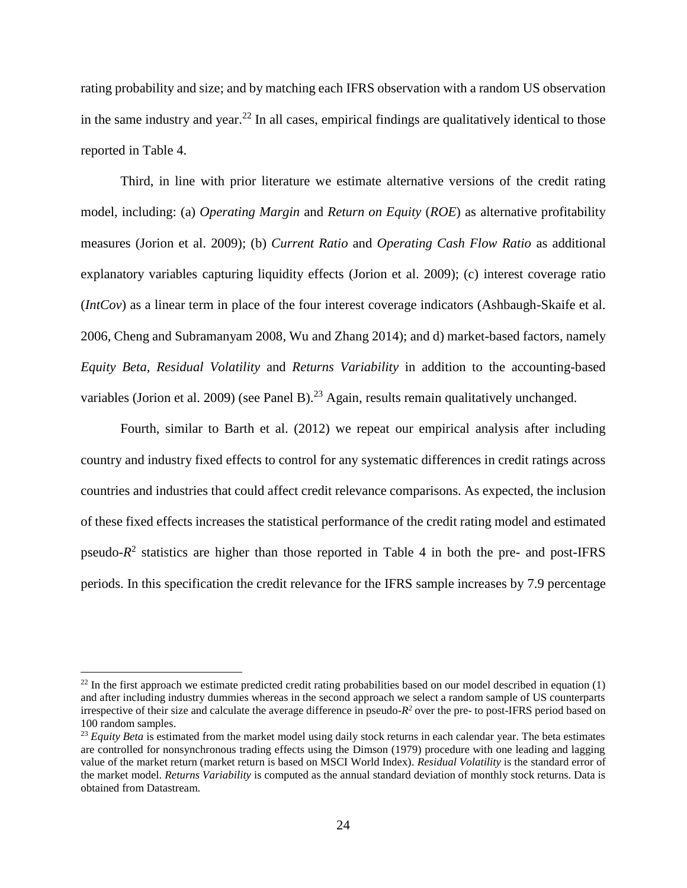rating probability and size; and by matching each IFRS observation with a random US observation in the same industry and year.<sup>22</sup> In all cases, empirical findings are qualitatively identical to those reported in Table 4.

Third, in line with prior literature we estimate alternative versions of the credit rating model, including: (a) *Operating Margin* and *Return on Equity* (*ROE*) as alternative profitability measures (Jorion et al. 2009); (b) *Current Ratio* and *Operating Cash Flow Ratio* as additional explanatory variables capturing liquidity effects (Jorion et al. 2009); (c) interest coverage ratio (*IntCov*) as a linear term in place of the four interest coverage indicators (Ashbaugh-Skaife et al. 2006, Cheng and Subramanyam 2008, Wu and Zhang 2014); and d) market-based factors, namely *Equity Beta, Residual Volatility* and *Returns Variability* in addition to the accounting-based variables (Jorion et al. 2009) (see Panel B).<sup>23</sup> Again, results remain qualitatively unchanged.

Fourth, similar to Barth et al. (2012) we repeat our empirical analysis after including country and industry fixed effects to control for any systematic differences in credit ratings across countries and industries that could affect credit relevance comparisons. As expected, the inclusion of these fixed effects increases the statistical performance of the credit rating model and estimated pseudo- $R^2$  statistics are higher than those reported in Table 4 in both the pre- and post-IFRS periods. In this specification the credit relevance for the IFRS sample increases by 7.9 percentage

<u>.</u>

<sup>&</sup>lt;sup>22</sup> In the first approach we estimate predicted credit rating probabilities based on our model described in equation  $(1)$ and after including industry dummies whereas in the second approach we select a random sample of US counterparts irrespective of their size and calculate the average difference in pseudo- $R^2$  over the pre- to post-IFRS period based on 100 random samples.

<sup>&</sup>lt;sup>23</sup> *Equity Beta* is estimated from the market model using daily stock returns in each calendar year. The beta estimates are controlled for nonsynchronous trading effects using the Dimson (1979) procedure with one leading and lagging value of the market return (market return is based on MSCI World Index). *Residual Volatility* is the standard error of the market model. *Returns Variability* is computed as the annual standard deviation of monthly stock returns. Data is obtained from Datastream.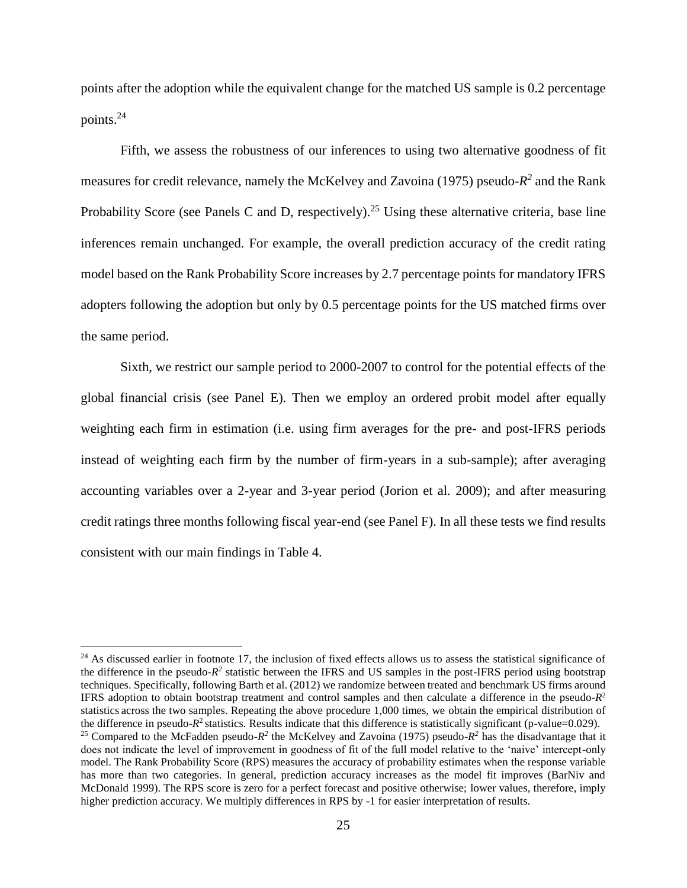points after the adoption while the equivalent change for the matched US sample is 0.2 percentage points.<sup>24</sup>

Fifth, we assess the robustness of our inferences to using two alternative goodness of fit measures for credit relevance, namely the McKelvey and Zavoina (1975) pseudo- $R^2$  and the Rank Probability Score (see Panels C and D, respectively).<sup>25</sup> Using these alternative criteria, base line inferences remain unchanged. For example, the overall prediction accuracy of the credit rating model based on the Rank Probability Score increases by 2.7 percentage points for mandatory IFRS adopters following the adoption but only by 0.5 percentage points for the US matched firms over the same period.

Sixth, we restrict our sample period to 2000-2007 to control for the potential effects of the global financial crisis (see Panel E). Then we employ an ordered probit model after equally weighting each firm in estimation (i.e. using firm averages for the pre- and post-IFRS periods instead of weighting each firm by the number of firm-years in a sub-sample); after averaging accounting variables over a 2-year and 3-year period (Jorion et al. 2009); and after measuring credit ratings three months following fiscal year-end (see Panel F). In all these tests we find results consistent with our main findings in Table 4.

1

 $24$  As discussed earlier in footnote 17, the inclusion of fixed effects allows us to assess the statistical significance of the difference in the pseudo- $R^2$  statistic between the IFRS and US samples in the post-IFRS period using bootstrap techniques. Specifically, following Barth et al. (2012) we randomize between treated and benchmark US firms around IFRS adoption to obtain bootstrap treatment and control samples and then calculate a difference in the pseudo- $R<sup>2</sup>$ statistics across the two samples. Repeating the above procedure 1,000 times, we obtain the empirical distribution of the difference in pseudo- $R^2$  statistics. Results indicate that this difference is statistically significant (p-value= $0.029$ ). <sup>25</sup> Compared to the McFadden pseudo- $R^2$  the McKelvey and Zavoina (1975) pseudo- $R^2$  has the disadvantage that it does not indicate the level of improvement in goodness of fit of the full model relative to the 'naive' intercept-only model. The Rank Probability Score (RPS) measures the accuracy of probability estimates when the response variable has more than two categories. In general, prediction accuracy increases as the model fit improves (BarNiv and McDonald 1999). The RPS score is zero for a perfect forecast and positive otherwise; lower values, therefore, imply higher prediction accuracy. We multiply differences in RPS by -1 for easier interpretation of results.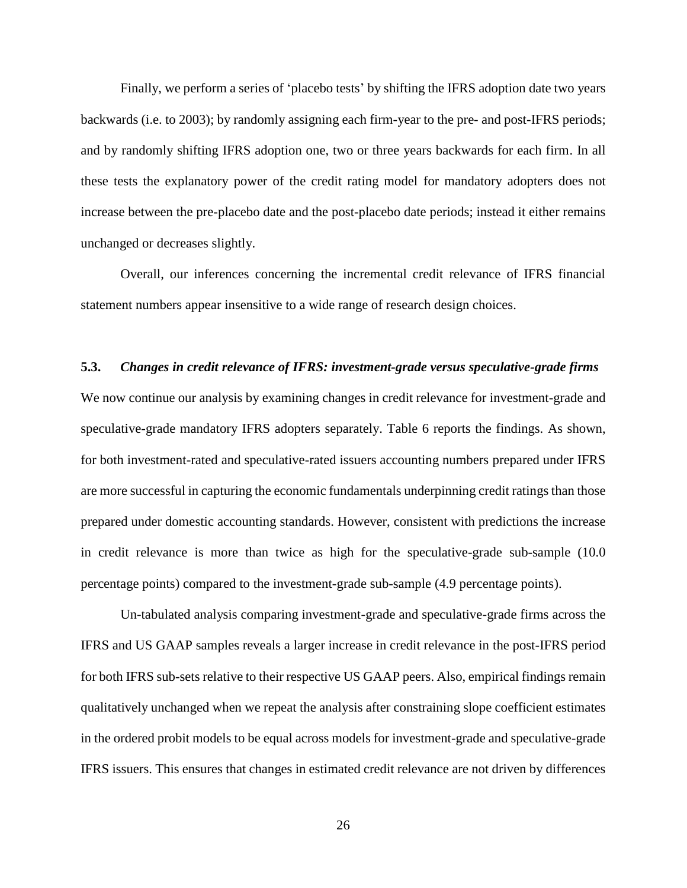Finally, we perform a series of 'placebo tests' by shifting the IFRS adoption date two years backwards (i.e. to 2003); by randomly assigning each firm-year to the pre- and post-IFRS periods; and by randomly shifting IFRS adoption one, two or three years backwards for each firm. In all these tests the explanatory power of the credit rating model for mandatory adopters does not increase between the pre-placebo date and the post-placebo date periods; instead it either remains unchanged or decreases slightly.

Overall, our inferences concerning the incremental credit relevance of IFRS financial statement numbers appear insensitive to a wide range of research design choices.

#### **5.3.** *Changes in credit relevance of IFRS: investment-grade versus speculative-grade firms*

We now continue our analysis by examining changes in credit relevance for investment-grade and speculative-grade mandatory IFRS adopters separately. Table 6 reports the findings. As shown, for both investment-rated and speculative-rated issuers accounting numbers prepared under IFRS are more successful in capturing the economic fundamentals underpinning credit ratings than those prepared under domestic accounting standards. However, consistent with predictions the increase in credit relevance is more than twice as high for the speculative-grade sub-sample (10.0 percentage points) compared to the investment-grade sub-sample (4.9 percentage points).

Un-tabulated analysis comparing investment-grade and speculative-grade firms across the IFRS and US GAAP samples reveals a larger increase in credit relevance in the post-IFRS period for both IFRS sub-sets relative to their respective US GAAP peers. Also, empirical findings remain qualitatively unchanged when we repeat the analysis after constraining slope coefficient estimates in the ordered probit models to be equal across models for investment-grade and speculative-grade IFRS issuers. This ensures that changes in estimated credit relevance are not driven by differences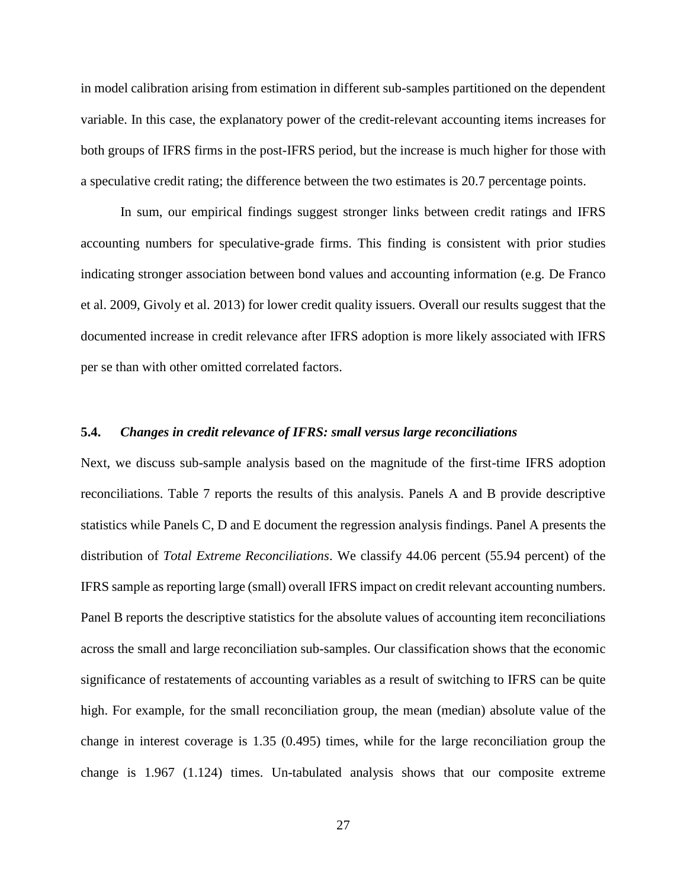in model calibration arising from estimation in different sub-samples partitioned on the dependent variable. In this case, the explanatory power of the credit-relevant accounting items increases for both groups of IFRS firms in the post-IFRS period, but the increase is much higher for those with a speculative credit rating; the difference between the two estimates is 20.7 percentage points.

In sum, our empirical findings suggest stronger links between credit ratings and IFRS accounting numbers for speculative-grade firms. This finding is consistent with prior studies indicating stronger association between bond values and accounting information (e.g. De Franco et al. 2009, Givoly et al. 2013) for lower credit quality issuers. Overall our results suggest that the documented increase in credit relevance after IFRS adoption is more likely associated with IFRS per se than with other omitted correlated factors.

#### **5.4.** *Changes in credit relevance of IFRS: small versus large reconciliations*

Next, we discuss sub-sample analysis based on the magnitude of the first-time IFRS adoption reconciliations. Table 7 reports the results of this analysis. Panels A and B provide descriptive statistics while Panels C, D and E document the regression analysis findings. Panel A presents the distribution of *Total Extreme Reconciliations*. We classify 44.06 percent (55.94 percent) of the IFRS sample as reporting large (small) overall IFRS impact on credit relevant accounting numbers. Panel B reports the descriptive statistics for the absolute values of accounting item reconciliations across the small and large reconciliation sub-samples. Our classification shows that the economic significance of restatements of accounting variables as a result of switching to IFRS can be quite high. For example, for the small reconciliation group, the mean (median) absolute value of the change in interest coverage is 1.35 (0.495) times, while for the large reconciliation group the change is 1.967 (1.124) times. Un-tabulated analysis shows that our composite extreme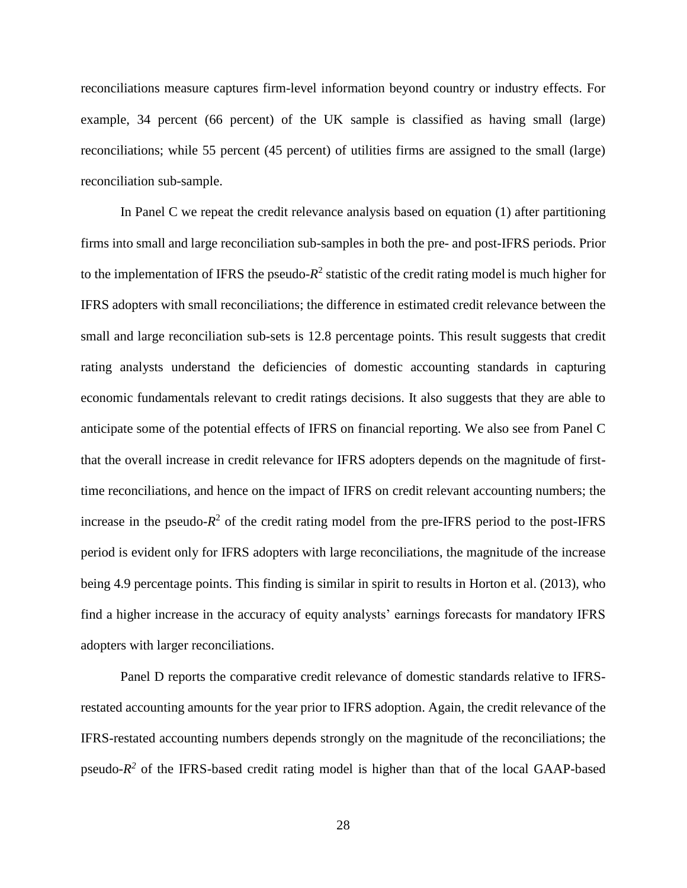reconciliations measure captures firm-level information beyond country or industry effects. For example, 34 percent (66 percent) of the UK sample is classified as having small (large) reconciliations; while 55 percent (45 percent) of utilities firms are assigned to the small (large) reconciliation sub-sample.

In Panel C we repeat the credit relevance analysis based on equation (1) after partitioning firms into small and large reconciliation sub-samples in both the pre- and post-IFRS periods. Prior to the implementation of IFRS the pseudo- $R^2$  statistic of the credit rating model is much higher for IFRS adopters with small reconciliations; the difference in estimated credit relevance between the small and large reconciliation sub-sets is 12.8 percentage points. This result suggests that credit rating analysts understand the deficiencies of domestic accounting standards in capturing economic fundamentals relevant to credit ratings decisions. It also suggests that they are able to anticipate some of the potential effects of IFRS on financial reporting. We also see from Panel C that the overall increase in credit relevance for IFRS adopters depends on the magnitude of firsttime reconciliations, and hence on the impact of IFRS on credit relevant accounting numbers; the increase in the pseudo- $R^2$  of the credit rating model from the pre-IFRS period to the post-IFRS period is evident only for IFRS adopters with large reconciliations, the magnitude of the increase being 4.9 percentage points. This finding is similar in spirit to results in Horton et al. (2013), who find a higher increase in the accuracy of equity analysts' earnings forecasts for mandatory IFRS adopters with larger reconciliations.

Panel D reports the comparative credit relevance of domestic standards relative to IFRSrestated accounting amounts for the year prior to IFRS adoption. Again, the credit relevance of the IFRS-restated accounting numbers depends strongly on the magnitude of the reconciliations; the pseudo- $R^2$  of the IFRS-based credit rating model is higher than that of the local GAAP-based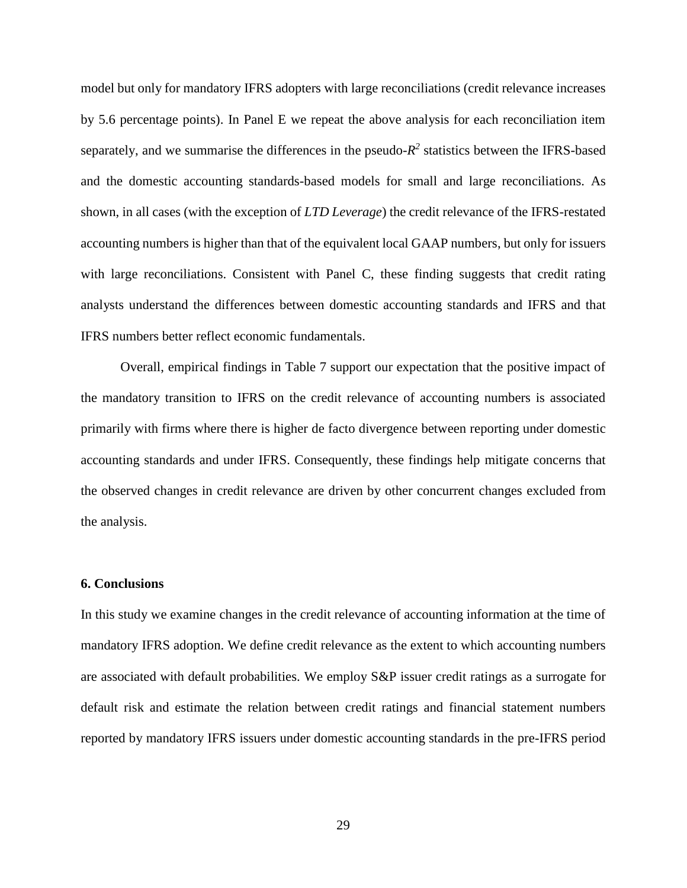model but only for mandatory IFRS adopters with large reconciliations (credit relevance increases by 5.6 percentage points). In Panel E we repeat the above analysis for each reconciliation item separately, and we summarise the differences in the pseudo- $R<sup>2</sup>$  statistics between the IFRS-based and the domestic accounting standards-based models for small and large reconciliations. As shown, in all cases (with the exception of *LTD Leverage*) the credit relevance of the IFRS-restated accounting numbers is higher than that of the equivalent local GAAP numbers, but only for issuers with large reconciliations. Consistent with Panel C, these finding suggests that credit rating analysts understand the differences between domestic accounting standards and IFRS and that IFRS numbers better reflect economic fundamentals.

Overall, empirical findings in Table 7 support our expectation that the positive impact of the mandatory transition to IFRS on the credit relevance of accounting numbers is associated primarily with firms where there is higher de facto divergence between reporting under domestic accounting standards and under IFRS. Consequently, these findings help mitigate concerns that the observed changes in credit relevance are driven by other concurrent changes excluded from the analysis.

#### **6. Conclusions**

In this study we examine changes in the credit relevance of accounting information at the time of mandatory IFRS adoption. We define credit relevance as the extent to which accounting numbers are associated with default probabilities. We employ S&P issuer credit ratings as a surrogate for default risk and estimate the relation between credit ratings and financial statement numbers reported by mandatory IFRS issuers under domestic accounting standards in the pre-IFRS period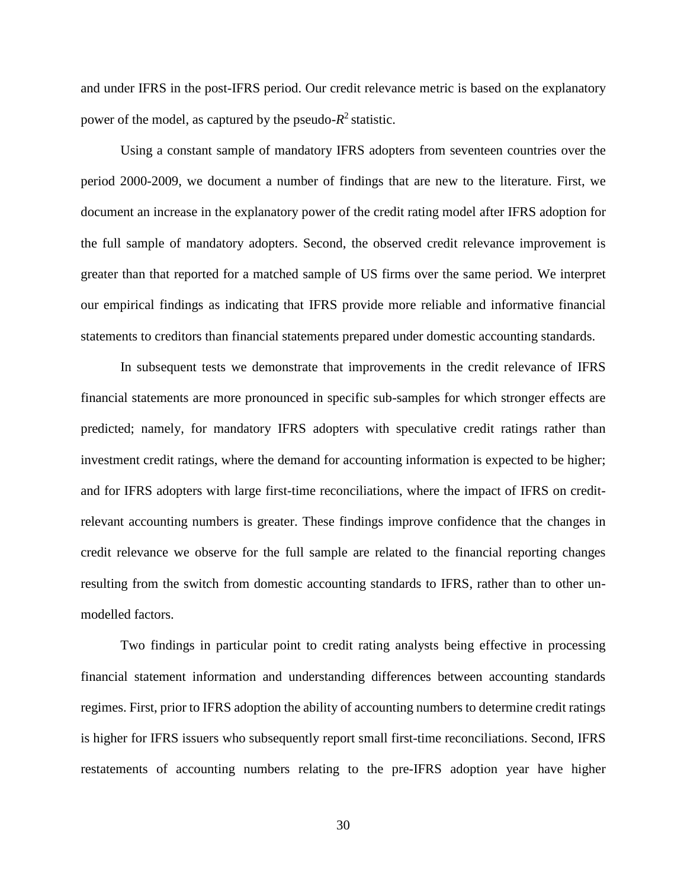and under IFRS in the post-IFRS period. Our credit relevance metric is based on the explanatory power of the model, as captured by the pseudo- $R^2$  statistic.

Using a constant sample of mandatory IFRS adopters from seventeen countries over the period 2000-2009, we document a number of findings that are new to the literature. First, we document an increase in the explanatory power of the credit rating model after IFRS adoption for the full sample of mandatory adopters. Second, the observed credit relevance improvement is greater than that reported for a matched sample of US firms over the same period. We interpret our empirical findings as indicating that IFRS provide more reliable and informative financial statements to creditors than financial statements prepared under domestic accounting standards.

In subsequent tests we demonstrate that improvements in the credit relevance of IFRS financial statements are more pronounced in specific sub-samples for which stronger effects are predicted; namely, for mandatory IFRS adopters with speculative credit ratings rather than investment credit ratings, where the demand for accounting information is expected to be higher; and for IFRS adopters with large first-time reconciliations, where the impact of IFRS on creditrelevant accounting numbers is greater. These findings improve confidence that the changes in credit relevance we observe for the full sample are related to the financial reporting changes resulting from the switch from domestic accounting standards to IFRS, rather than to other unmodelled factors.

Two findings in particular point to credit rating analysts being effective in processing financial statement information and understanding differences between accounting standards regimes. First, prior to IFRS adoption the ability of accounting numbers to determine credit ratings is higher for IFRS issuers who subsequently report small first-time reconciliations. Second, IFRS restatements of accounting numbers relating to the pre-IFRS adoption year have higher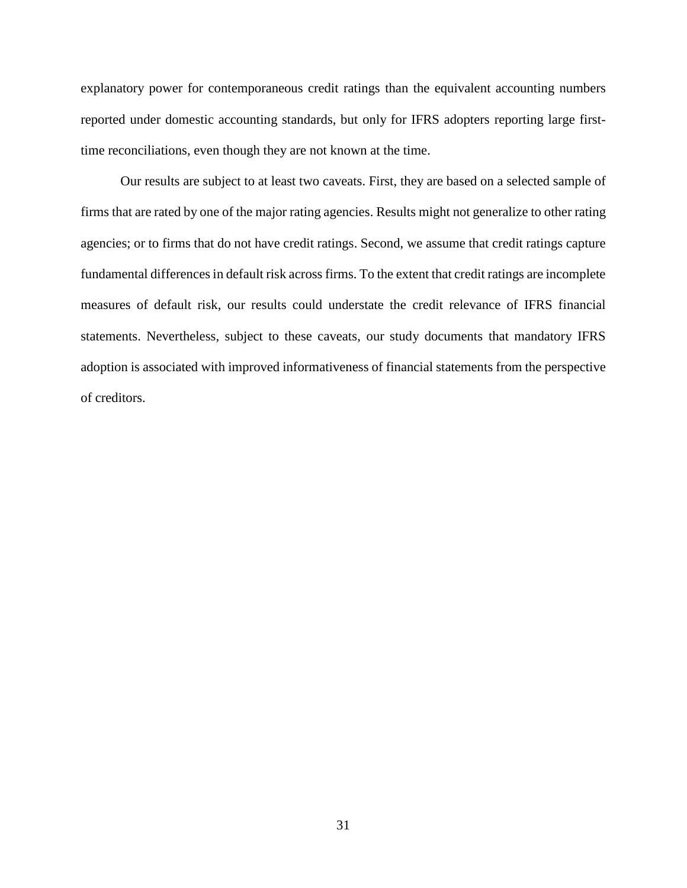explanatory power for contemporaneous credit ratings than the equivalent accounting numbers reported under domestic accounting standards, but only for IFRS adopters reporting large firsttime reconciliations, even though they are not known at the time.

Our results are subject to at least two caveats. First, they are based on a selected sample of firms that are rated by one of the major rating agencies. Results might not generalize to other rating agencies; or to firms that do not have credit ratings. Second, we assume that credit ratings capture fundamental differences in default risk across firms. To the extent that credit ratings are incomplete measures of default risk, our results could understate the credit relevance of IFRS financial statements. Nevertheless, subject to these caveats, our study documents that mandatory IFRS adoption is associated with improved informativeness of financial statements from the perspective of creditors.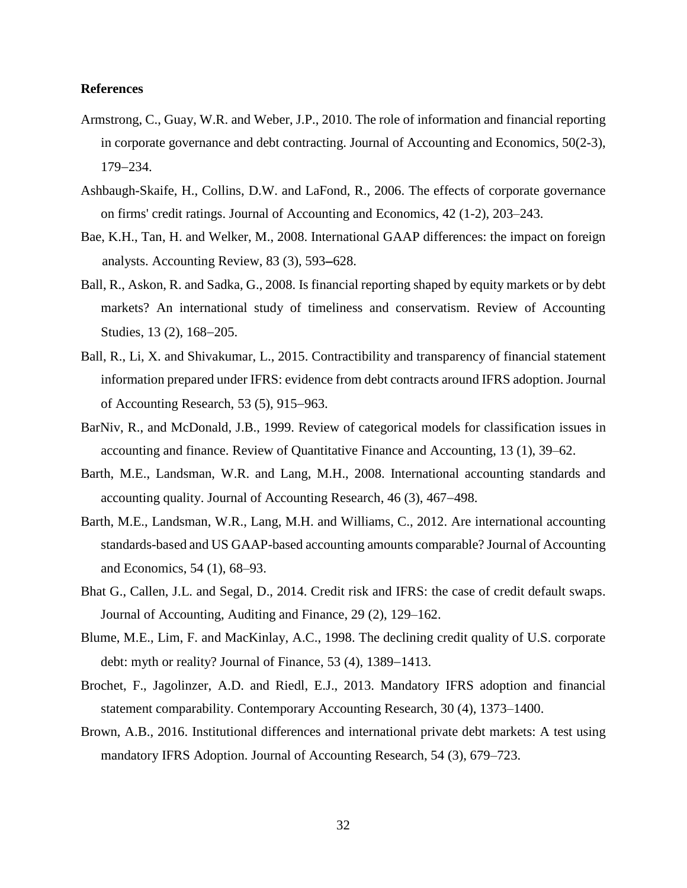#### **References**

- Armstrong, C., Guay, W.R. and Weber, J.P., 2010. The role of information and financial reporting in corporate governance and debt contracting. Journal of Accounting and Economics*,* 50(2-3), 179234.
- Ashbaugh-Skaife, H., Collins, D.W. and LaFond, R., 2006. The effects of corporate governance on firms' credit ratings. Journal of Accounting and Economics, 42 (1-2), 203–243.
- Bae, K.H., Tan, H. and Welker, M., 2008. International GAAP differences: the impact on foreign analysts. Accounting Review,  $83$  (3),  $593-628$ .
- Ball, R., Askon, R. and Sadka, G., 2008. Is financial reporting shaped by equity markets or by debt markets? An international study of timeliness and conservatism. Review of Accounting Studies, 13 (2), 168-205.
- Ball, R., Li, X. and Shivakumar, L., 2015. Contractibility and transparency of financial statement information prepared under IFRS: evidence from debt contracts around IFRS adoption. Journal of Accounting Research,  $53$  (5),  $915-963$ .
- BarNiv, R., and McDonald, J.B., 1999. Review of categorical models for classification issues in accounting and finance. Review of Quantitative Finance and Accounting, 13 (1), 39–62.
- Barth, M.E., Landsman, W.R. and Lang, M.H., 2008. International accounting standards and accounting quality. Journal of Accounting Research, 46 (3), 467–498.
- Barth, M.E., Landsman, W.R., Lang, M.H. and Williams, C., 2012. Are international accounting standards-based and US GAAP-based accounting amounts comparable? Journal of Accounting and Economics, 54 (1), 68–93.
- Bhat G., Callen, J.L. and Segal, D., 2014. Credit risk and IFRS: the case of credit default swaps. Journal of Accounting, Auditing and Finance, 29 (2), 129–162.
- Blume, M.E., Lim, F. and MacKinlay, A.C., 1998. The declining credit quality of U.S. corporate debt: myth or reality? Journal of Finance,  $53(4)$ ,  $1389-1413$ .
- Brochet, F., Jagolinzer, A.D. and Riedl, E.J., 2013. Mandatory IFRS adoption and financial statement comparability. Contemporary Accounting Research, 30 (4), 1373–1400.
- Brown, A.B., 2016. Institutional differences and international private debt markets: A test using mandatory IFRS Adoption. Journal of Accounting Research, 54 (3), 679–723.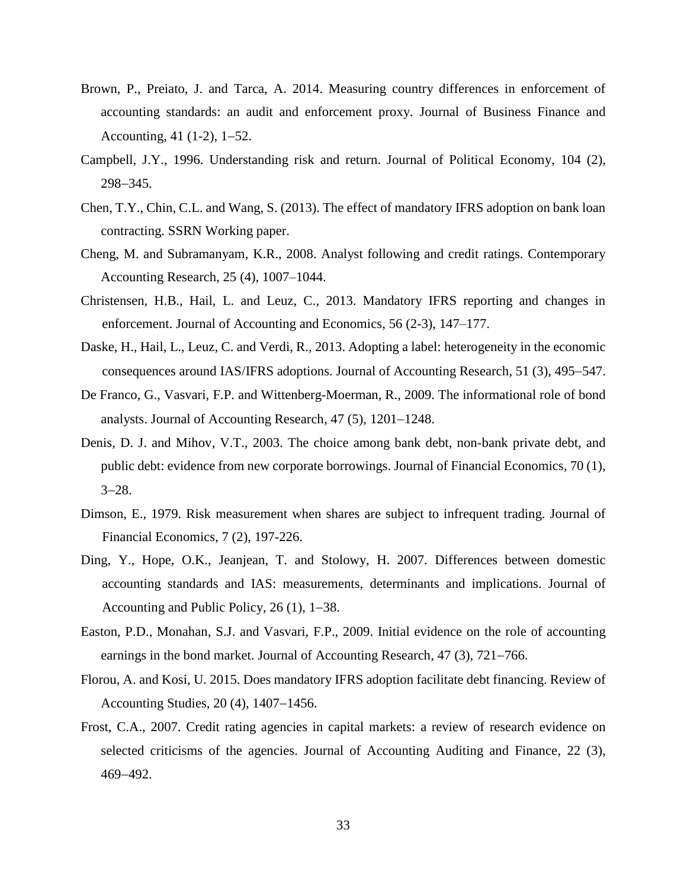- Brown, P., Preiato, J. and Tarca, A. 2014. Measuring country differences in enforcement of accounting standards: an audit and enforcement proxy. Journal of Business Finance and Accounting,  $41$  (1-2), 1-52.
- Campbell, J.Y., 1996. Understanding risk and return. Journal of Political Economy, 104 (2), 298-345.
- Chen, T.Y., Chin, C.L. and Wang, S. (2013). The effect of mandatory IFRS adoption on bank loan contracting. SSRN Working paper.
- Cheng, M. and Subramanyam, K.R., 2008. Analyst following and credit ratings. Contemporary Accounting Research, 25 (4), 1007–1044.
- Christensen, H.B., Hail, L. and Leuz, C., 2013. Mandatory IFRS reporting and changes in enforcement. Journal of Accounting and Economics, 56 (2-3), 147–177.
- Daske, H., Hail, L., Leuz, C. and Verdi, R., 2013. Adopting a label: heterogeneity in the economic consequences around IAS/IFRS adoptions. Journal of Accounting Research, 51 (3), 495–547.
- De Franco, G., Vasvari, F.P. and Wittenberg-Moerman, R., 2009. The informational role of bond analysts. Journal of Accounting Research,  $47(5)$ ,  $1201-1248$ .
- Denis, D. J. and Mihov, V.T., 2003. The choice among bank debt, non-bank private debt, and public debt: evidence from new corporate borrowings. Journal of Financial Economics, 70 (1),  $3 - 28.$
- Dimson, E., 1979. Risk measurement when shares are subject to infrequent trading. Journal of Financial Economics, 7 (2), 197-226.
- Ding, Y., Hope, O.K., Jeanjean, T. and Stolowy, H. 2007. Differences between domestic accounting standards and IAS: measurements, determinants and implications. Journal of Accounting and Public Policy,  $26(1)$ ,  $1-38$ .
- Easton, P.D., Monahan, S.J. and Vasvari, F.P., 2009. Initial evidence on the role of accounting earnings in the bond market. Journal of Accounting Research, 47 (3), 721–766.
- Florou, A. and Kosi, U. 2015. Does mandatory IFRS adoption facilitate debt financing. Review of Accounting Studies,  $20(4)$ ,  $1407-1456$ .
- Frost, C.A., 2007. Credit rating agencies in capital markets: a review of research evidence on selected criticisms of the agencies. Journal of Accounting Auditing and Finance, 22 (3), 469492.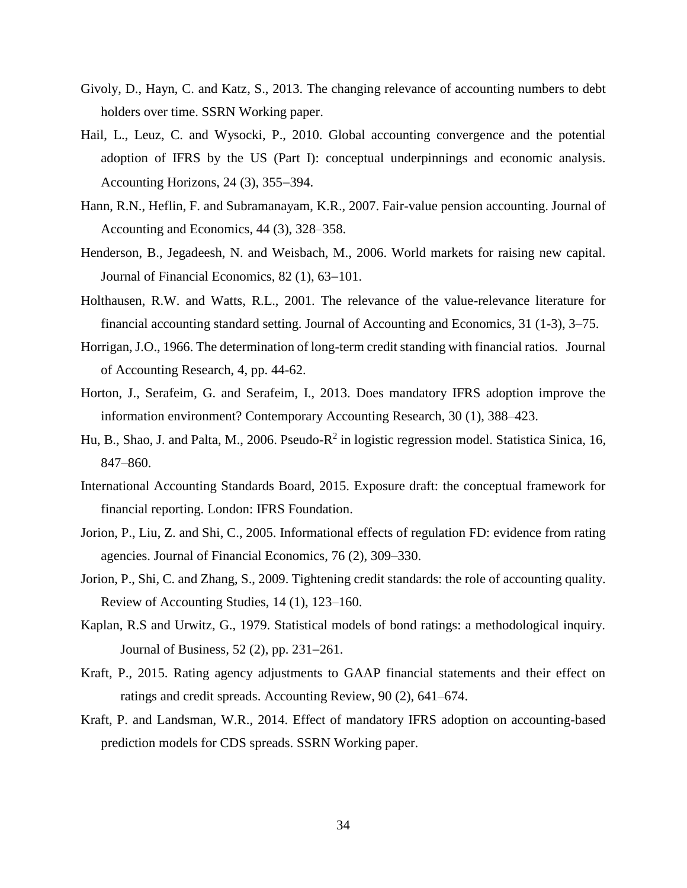- Givoly, D., Hayn, C. and Katz, S., 2013. The changing relevance of accounting numbers to debt holders over time. SSRN Working paper.
- Hail, L., Leuz, C. and Wysocki, P., 2010. Global accounting convergence and the potential adoption of IFRS by the US (Part I): conceptual underpinnings and economic analysis. Accounting Horizons,  $24$  (3),  $355-394$ .
- Hann, R.N., Heflin, F. and Subramanayam, K.R., 2007. Fair-value pension accounting. Journal of Accounting and Economics, 44 (3), 328–358.
- Henderson, B., Jegadeesh, N. and Weisbach, M., 2006. World markets for raising new capital. Journal of Financial Economics,  $82(1)$ ,  $63-101$ .
- Holthausen, R.W. and Watts, R.L., 2001. The relevance of the value-relevance literature for financial accounting standard setting. Journal of Accounting and Economics, 31 (1-3), 3–75.
- Horrigan, J.O., 1966. The determination of long-term credit standing with financial ratios. Journal of Accounting Research, 4, pp. 44-62.
- Horton, J., Serafeim, G. and Serafeim, I., 2013. Does mandatory IFRS adoption improve the information environment? Contemporary Accounting Research, 30 (1), 388–423.
- Hu, B., Shao, J. and Palta, M., 2006. Pseudo-R<sup>2</sup> in logistic regression model. Statistica Sinica, 16, 847–860.
- International Accounting Standards Board, 2015. Exposure draft: the conceptual framework for financial reporting. London: IFRS Foundation.
- Jorion, P., Liu, Z. and Shi, C., 2005. Informational effects of regulation FD: evidence from rating agencies. Journal of Financial Economics, 76 (2), 309–330.
- Jorion, P., Shi, C. and Zhang, S., 2009. Tightening credit standards: the role of accounting quality. Review of Accounting Studies, 14 (1), 123–160.
- Kaplan, R.S and Urwitz, G., 1979. Statistical models of bond ratings: a methodological inquiry. Journal of Business, 52 (2), pp. 231–261.
- Kraft, P., 2015. Rating agency adjustments to GAAP financial statements and their effect on ratings and credit spreads. Accounting Review, 90 (2), 641–674.
- Kraft, P. and Landsman, W.R., 2014. Effect of mandatory IFRS adoption on accounting-based prediction models for CDS spreads. SSRN Working paper.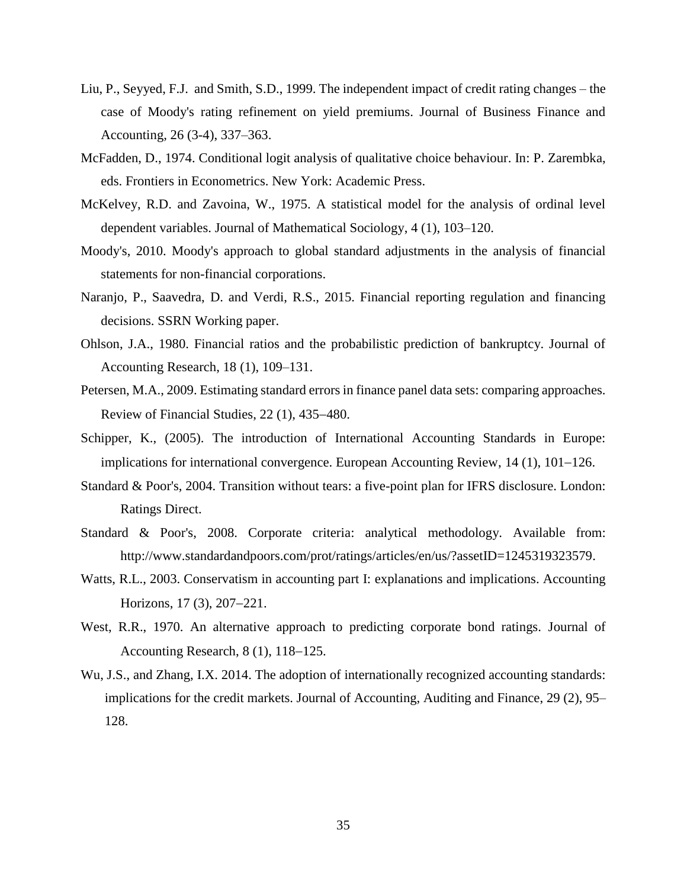- Liu, P., Seyyed, F.J. and Smith, S.D., 1999. The independent impact of credit rating changes the case of Moody's rating refinement on yield premiums. Journal of Business Finance and Accounting, 26 (3-4), 337–363.
- McFadden, D., 1974. Conditional logit analysis of qualitative choice behaviour. In: P. Zarembka, eds. Frontiers in Econometrics. New York: Academic Press.
- McKelvey, R.D. and Zavoina, W., 1975. A statistical model for the analysis of ordinal level dependent variables. Journal of Mathematical Sociology, 4 (1), 103–120.
- Moody's, 2010. Moody's approach to global standard adjustments in the analysis of financial statements for non-financial corporations.
- Naranjo, P., Saavedra, D. and Verdi, R.S., 2015. Financial reporting regulation and financing decisions. SSRN Working paper.
- Ohlson, J.A., 1980. Financial ratios and the probabilistic prediction of bankruptcy. Journal of Accounting Research, 18 (1), 109–131.
- Petersen, M.A., 2009. Estimating standard errors in finance panel data sets: comparing approaches. Review of Financial Studies,  $22(1)$ ,  $435-480$ .
- Schipper, K., (2005). The introduction of International Accounting Standards in Europe: implications for international convergence. European Accounting Review,  $14$  (1),  $101-126$ .
- Standard & Poor's, 2004. Transition without tears: a five-point plan for IFRS disclosure. London: Ratings Direct.
- Standard & Poor's, 2008. Corporate criteria: analytical methodology. Available from: [http://www.standardandpoors.com/prot/ratings/articles/en/us/?assetID=1245319323579.](http://www.standardandpoors.com/prot/ratings/articles/en/us/?assetID=1245319323579)
- Watts, R.L., 2003. Conservatism in accounting part I: explanations and implications. Accounting Horizons,  $17(3)$ ,  $207-221$ .
- West, R.R., 1970. An alternative approach to predicting corporate bond ratings. Journal of Accounting Research, 8 (1), 118–125.
- Wu, J.S., and Zhang, I.X. 2014. The adoption of internationally recognized accounting standards: implications for the credit markets. Journal of Accounting, Auditing and Finance, 29 (2), 95– 128.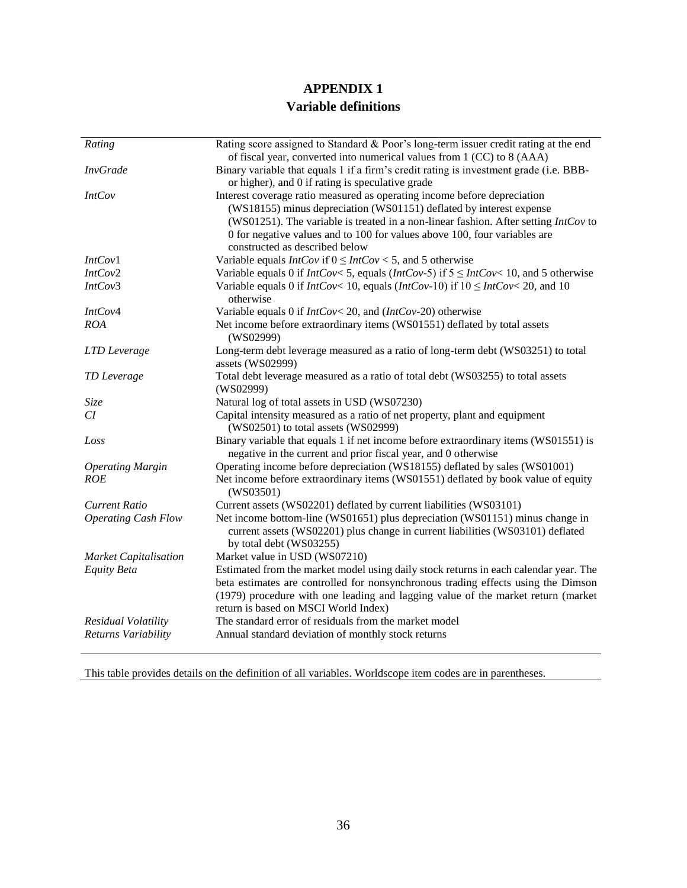# **APPENDIX 1 Variable definitions**

| Rating                       | Rating score assigned to Standard & Poor's long-term issuer credit rating at the end                                                                                                                                                                                                                                                                    |
|------------------------------|---------------------------------------------------------------------------------------------------------------------------------------------------------------------------------------------------------------------------------------------------------------------------------------------------------------------------------------------------------|
| <b>InvGrade</b>              | of fiscal year, converted into numerical values from 1 (CC) to 8 (AAA)<br>Binary variable that equals 1 if a firm's credit rating is investment grade (i.e. BBB-                                                                                                                                                                                        |
|                              | or higher), and 0 if rating is speculative grade                                                                                                                                                                                                                                                                                                        |
| IntCov                       | Interest coverage ratio measured as operating income before depreciation<br>(WS18155) minus depreciation (WS01151) deflated by interest expense<br>(WS01251). The variable is treated in a non-linear fashion. After setting $IntCov$ to<br>0 for negative values and to 100 for values above 100, four variables are<br>constructed as described below |
| IntCov1                      | Variable equals <i>IntCov</i> if $0 \leq IntCov < 5$ , and 5 otherwise                                                                                                                                                                                                                                                                                  |
| IntCov2                      | Variable equals 0 if $IntCov < 5$ , equals $(intCov-5)$ if $5 \leq IntCov < 10$ , and 5 otherwise                                                                                                                                                                                                                                                       |
| IntCov3                      | Variable equals 0 if $IntCov < 10$ , equals $(intCov-10)$ if $10 \leq IntCov < 20$ , and 10                                                                                                                                                                                                                                                             |
|                              | otherwise                                                                                                                                                                                                                                                                                                                                               |
| IntCov4                      | Variable equals 0 if $IntCov < 20$ , and $(intCov-20)$ otherwise                                                                                                                                                                                                                                                                                        |
| <b>ROA</b>                   | Net income before extraordinary items (WS01551) deflated by total assets<br>(WS02999)                                                                                                                                                                                                                                                                   |
| LTD Leverage                 | Long-term debt leverage measured as a ratio of long-term debt (WS03251) to total<br>assets (WS02999)                                                                                                                                                                                                                                                    |
| TD Leverage                  | Total debt leverage measured as a ratio of total debt (WS03255) to total assets<br>(WS02999)                                                                                                                                                                                                                                                            |
| Size                         | Natural log of total assets in USD (WS07230)                                                                                                                                                                                                                                                                                                            |
| CI                           | Capital intensity measured as a ratio of net property, plant and equipment<br>(WS02501) to total assets (WS02999)                                                                                                                                                                                                                                       |
| Loss                         | Binary variable that equals 1 if net income before extraordinary items (WS01551) is<br>negative in the current and prior fiscal year, and 0 otherwise                                                                                                                                                                                                   |
| <b>Operating Margin</b>      | Operating income before depreciation (WS18155) deflated by sales (WS01001)                                                                                                                                                                                                                                                                              |
| <b>ROE</b>                   | Net income before extraordinary items (WS01551) deflated by book value of equity<br>(WS03501)                                                                                                                                                                                                                                                           |
| <b>Current Ratio</b>         | Current assets (WS02201) deflated by current liabilities (WS03101)                                                                                                                                                                                                                                                                                      |
| <b>Operating Cash Flow</b>   | Net income bottom-line (WS01651) plus depreciation (WS01151) minus change in<br>current assets (WS02201) plus change in current liabilities (WS03101) deflated<br>by total debt (WS03255)                                                                                                                                                               |
| <b>Market Capitalisation</b> | Market value in USD (WS07210)                                                                                                                                                                                                                                                                                                                           |
| <b>Equity Beta</b>           | Estimated from the market model using daily stock returns in each calendar year. The<br>beta estimates are controlled for nonsynchronous trading effects using the Dimson<br>(1979) procedure with one leading and lagging value of the market return (market<br>return is based on MSCI World Index)                                                   |
| Residual Volatility          | The standard error of residuals from the market model                                                                                                                                                                                                                                                                                                   |
| Returns Variability          | Annual standard deviation of monthly stock returns                                                                                                                                                                                                                                                                                                      |

This table provides details on the definition of all variables. Worldscope item codes are in parentheses.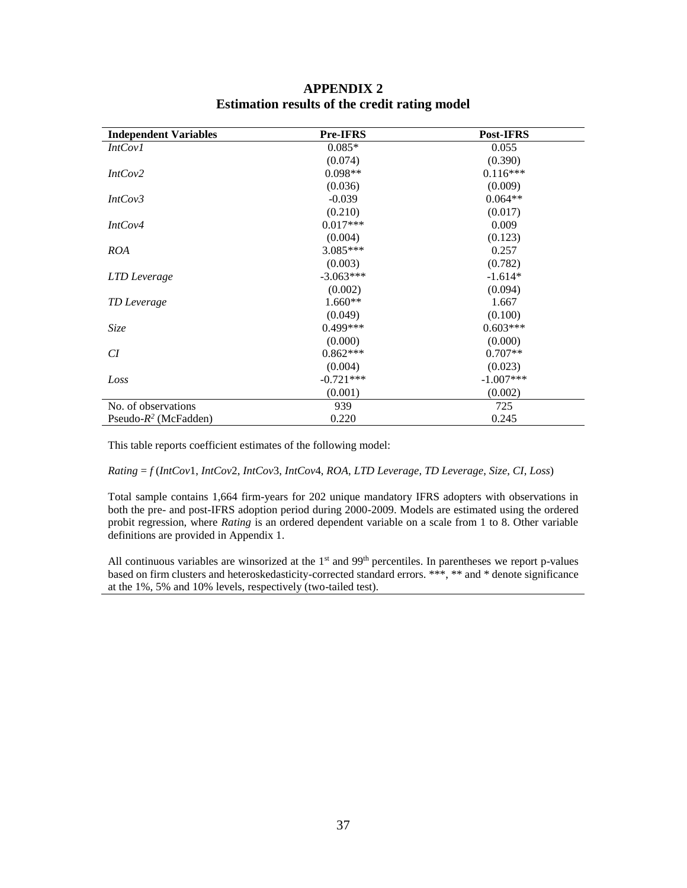| <b>Independent Variables</b> | <b>Pre-IFRS</b> | Post-IFRS   |
|------------------------------|-----------------|-------------|
| <i>IntCov1</i>               | $0.085*$        | 0.055       |
|                              | (0.074)         | (0.390)     |
| IntCov2                      | $0.098**$       | $0.116***$  |
|                              | (0.036)         | (0.009)     |
| IntCov3                      | $-0.039$        | $0.064**$   |
|                              | (0.210)         | (0.017)     |
| IntCov4                      | $0.017***$      | 0.009       |
|                              | (0.004)         | (0.123)     |
| <b>ROA</b>                   | 3.085***        | 0.257       |
|                              | (0.003)         | (0.782)     |
| LTD Leverage                 | $-3.063***$     | $-1.614*$   |
|                              | (0.002)         | (0.094)     |
| TD Leverage                  | $1.660**$       | 1.667       |
|                              | (0.049)         | (0.100)     |
| Size                         | $0.499***$      | $0.603***$  |
|                              | (0.000)         | (0.000)     |
| CI                           | $0.862***$      | $0.707**$   |
|                              | (0.004)         | (0.023)     |
| Loss                         | $-0.721***$     | $-1.007***$ |
|                              | (0.001)         | (0.002)     |
| No. of observations          | 939             | 725         |
| Pseudo- $R^2$ (McFadden)     | 0.220           | 0.245       |

# **APPENDIX 2 Estimation results of the credit rating model**

This table reports coefficient estimates of the following model:

#### *Rating* = *f* (*IntCov*1, *IntCov*2, *IntCov*3, *IntCov*4, *ROA*, *LTD Leverage*, *TD Leverage*, *Size*, *CI*, *Loss*)

Total sample contains 1,664 firm-years for 202 unique mandatory IFRS adopters with observations in both the pre- and post-IFRS adoption period during 2000-2009. Models are estimated using the ordered probit regression, where *Rating* is an ordered dependent variable on a scale from 1 to 8. Other variable definitions are provided in Appendix 1.

All continuous variables are winsorized at the  $1<sup>st</sup>$  and  $99<sup>th</sup>$  percentiles. In parentheses we report p-values based on firm clusters and heteroskedasticity-corrected standard errors. \*\*\*, \*\* and \* denote significance at the 1%, 5% and 10% levels, respectively (two-tailed test).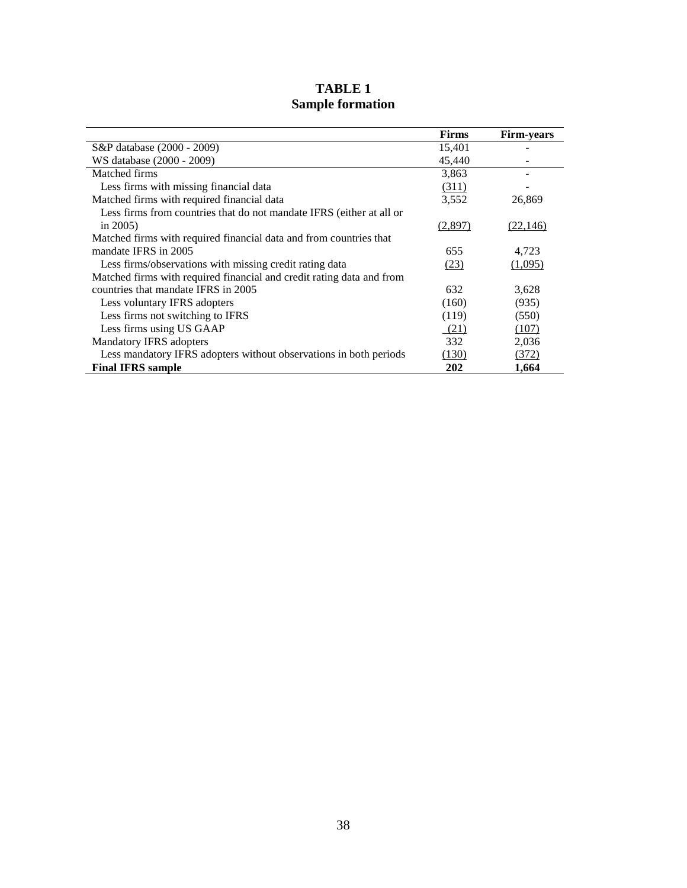|                                                                       | <b>Firms</b> | <b>Firm-years</b> |
|-----------------------------------------------------------------------|--------------|-------------------|
| S&P database (2000 - 2009)                                            | 15,401       |                   |
| WS database (2000 - 2009)                                             | 45,440       |                   |
| Matched firms                                                         | 3,863        |                   |
| Less firms with missing financial data                                | (311)        |                   |
| Matched firms with required financial data                            | 3,552        | 26,869            |
| Less firms from countries that do not mandate IFRS (either at all or  |              |                   |
| in $2005$ )                                                           | (2,897)      | (22, 146)         |
| Matched firms with required financial data and from countries that    |              |                   |
| mandate IFRS in 2005                                                  | 655          | 4,723             |
| Less firms/observations with missing credit rating data               | (23)         | (1,095)           |
| Matched firms with required financial and credit rating data and from |              |                   |
| countries that mandate IFRS in 2005                                   | 632          | 3,628             |
| Less voluntary IFRS adopters                                          | (160)        | (935)             |
| Less firms not switching to IFRS                                      | (119)        | (550)             |
| Less firms using US GAAP                                              | (21)         | (107)             |
| Mandatory IFRS adopters                                               | 332          | 2,036             |
| Less mandatory IFRS adopters without observations in both periods     | (130)        | (372)             |
| <b>Final IFRS sample</b>                                              | 202          | 1,664             |

# **TABLE 1 Sample formation**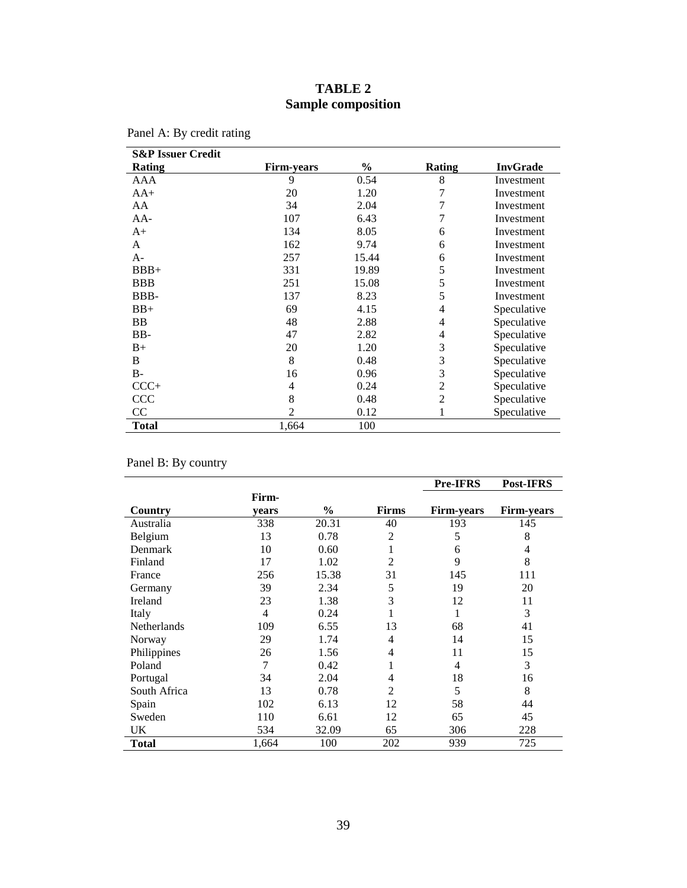# **TABLE 2 Sample composition**

| <b>S&amp;P Issuer Credit</b> |                   |       |                |                 |
|------------------------------|-------------------|-------|----------------|-----------------|
| Rating                       | <b>Firm-years</b> | $\%$  | Rating         | <b>InvGrade</b> |
| AAA                          | 9                 | 0.54  | 8              | Investment      |
| $AA+$                        | 20                | 1.20  | 7              | Investment      |
| AA                           | 34                | 2.04  | 7              | Investment      |
| $AA-$                        | 107               | 6.43  | 7              | Investment      |
| $A+$                         | 134               | 8.05  | 6              | Investment      |
| A                            | 162               | 9.74  | 6              | Investment      |
| $A-$                         | 257               | 15.44 | 6              | Investment      |
| $BBB+$                       | 331               | 19.89 | 5              | Investment      |
| <b>BBB</b>                   | 251               | 15.08 | 5              | Investment      |
| BBB-                         | 137               | 8.23  | 5              | Investment      |
| $BB+$                        | 69                | 4.15  | $\overline{4}$ | Speculative     |
| BB                           | 48                | 2.88  | $\overline{4}$ | Speculative     |
| BB-                          | 47                | 2.82  | 4              | Speculative     |
| $B+$                         | 20                | 1.20  | 3              | Speculative     |
| B                            | 8                 | 0.48  | 3              | Speculative     |
| <b>B-</b>                    | 16                | 0.96  | 3              | Speculative     |
| $CCC+$                       | 4                 | 0.24  | $\overline{2}$ | Speculative     |
| <b>CCC</b>                   | 8                 | 0.48  | $\overline{2}$ | Speculative     |
| CC                           | 2                 | 0.12  | 1              | Speculative     |
| <b>Total</b>                 | 1,664             | 100   |                |                 |

| Panel A: By credit rating |
|---------------------------|
|                           |

Panel B: By country

|                    |       |       |                | <b>Pre-IFRS</b>   | Post-IFRS         |
|--------------------|-------|-------|----------------|-------------------|-------------------|
|                    | Firm- |       |                |                   |                   |
| Country            | vears | $\%$  | <b>Firms</b>   | <b>Firm-years</b> | <b>Firm-years</b> |
| Australia          | 338   | 20.31 | 40             | 193               | 145               |
| Belgium            | 13    | 0.78  | $\overline{2}$ | 5                 | 8                 |
| Denmark            | 10    | 0.60  |                | 6                 | $\overline{4}$    |
| Finland            | 17    | 1.02  | $\overline{2}$ | 9                 | 8                 |
| France             | 256   | 15.38 | 31             | 145               | 111               |
| Germany            | 39    | 2.34  | 5              | 19                | 20                |
| Ireland            | 23    | 1.38  | 3              | 12                | 11                |
| Italy              | 4     | 0.24  |                | 1                 | 3                 |
| <b>Netherlands</b> | 109   | 6.55  | 13             | 68                | 41                |
| Norway             | 29    | 1.74  | 4              | 14                | 15                |
| Philippines        | 26    | 1.56  | 4              | 11                | 15                |
| Poland             | 7     | 0.42  |                | 4                 | 3                 |
| Portugal           | 34    | 2.04  | 4              | 18                | 16                |
| South Africa       | 13    | 0.78  | $\overline{2}$ | 5                 | 8                 |
| Spain              | 102   | 6.13  | 12             | 58                | 44                |
| Sweden             | 110   | 6.61  | 12             | 65                | 45                |
| UK                 | 534   | 32.09 | 65             | 306               | 228               |
| Total              | 1,664 | 100   | 202            | 939               | 725               |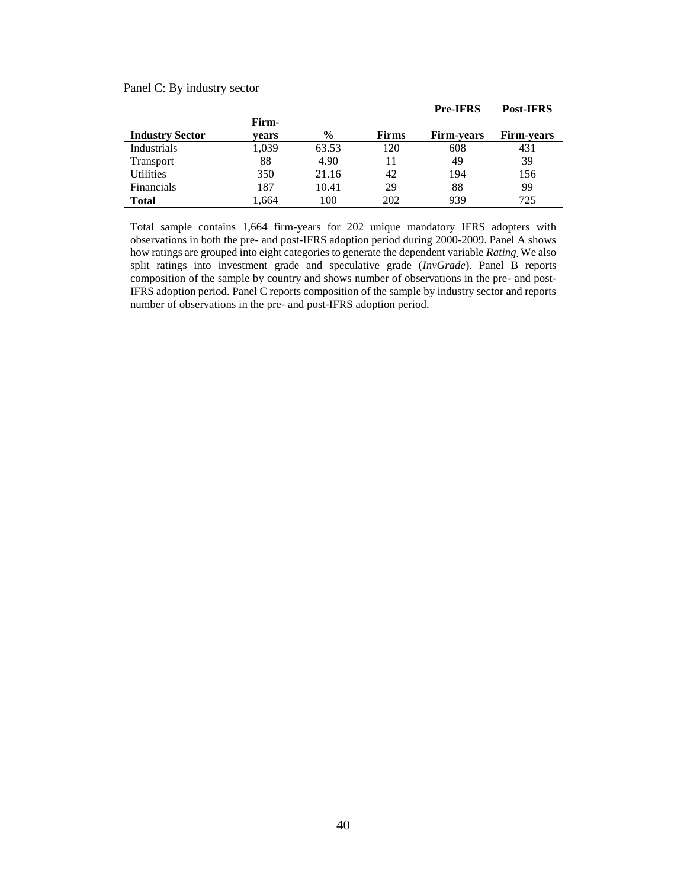Panel C: By industry sector

|                        |                |               |              | <b>Pre-IFRS</b>   | Post-IFRS         |
|------------------------|----------------|---------------|--------------|-------------------|-------------------|
| <b>Industry Sector</b> | Firm-<br>vears | $\frac{6}{9}$ | <b>Firms</b> | <b>Firm-vears</b> | <b>Firm-years</b> |
| Industrials            | 1,039          | 63.53         | 120          | 608               | 431               |
| <b>Transport</b>       | 88             | 4.90          | 11           | 49                | 39                |
| <b>Utilities</b>       | 350            | 21.16         | 42           | 194               | 156               |
| <b>Financials</b>      | 187            | 10.41         | 29           | 88                | 99                |
| <b>Total</b>           | .664           | 100           | 202          | 939               | 725               |

Total sample contains 1,664 firm-years for 202 unique mandatory IFRS adopters with observations in both the pre- and post-IFRS adoption period during 2000-2009. Panel A shows how ratings are grouped into eight categories to generate the dependent variable *Rating*. We also split ratings into investment grade and speculative grade (*InvGrade*). Panel B reports composition of the sample by country and shows number of observations in the pre- and post-IFRS adoption period. Panel C reports composition of the sample by industry sector and reports number of observations in the pre- and post-IFRS adoption period.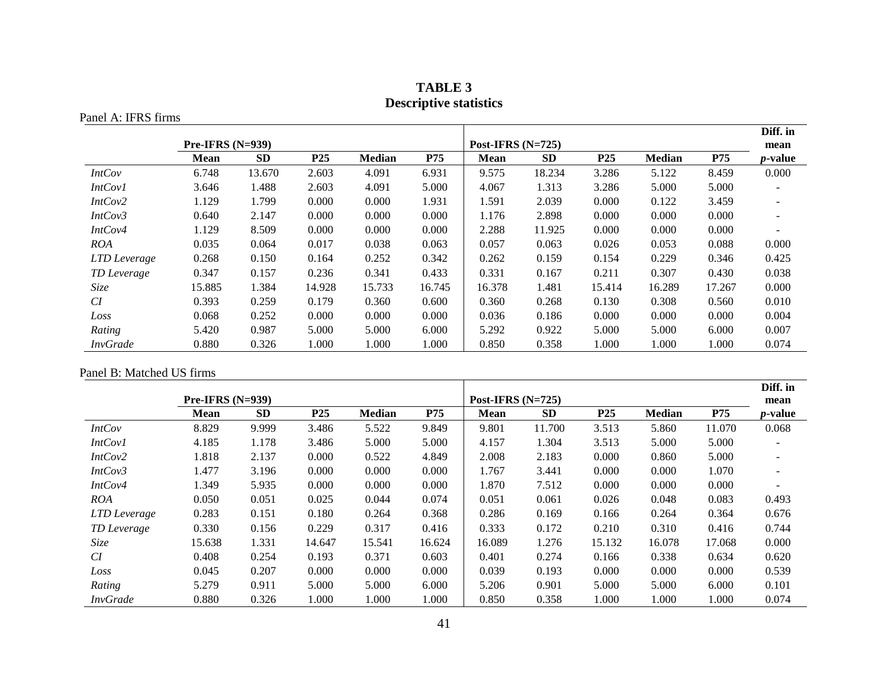| <b>TABLE 3</b>                |
|-------------------------------|
| <b>Descriptive statistics</b> |

Panel A: IFRS firms

|                 |                    |           |                 |               |            |                     |           |                 |               |            | Diff. in                 |
|-----------------|--------------------|-----------|-----------------|---------------|------------|---------------------|-----------|-----------------|---------------|------------|--------------------------|
|                 | Pre-IFRS $(N=939)$ |           |                 |               |            | Post-IFRS $(N=725)$ |           |                 |               |            | mean                     |
|                 | <b>Mean</b>        | <b>SD</b> | P <sub>25</sub> | <b>Median</b> | <b>P75</b> | <b>Mean</b>         | <b>SD</b> | P <sub>25</sub> | <b>Median</b> | <b>P75</b> | <i>p</i> -value          |
| <b>IntCov</b>   | 6.748              | 13.670    | 2.603           | 4.091         | 6.931      | 9.575               | 18.234    | 3.286           | 5.122         | 8.459      | 0.000                    |
| <b>IntCov1</b>  | 3.646              | 1.488     | 2.603           | 4.091         | 5.000      | 4.067               | 1.313     | 3.286           | 5.000         | 5.000      |                          |
| IntCov2         | 1.129              | 1.799     | 0.000           | 0.000         | 1.931      | 1.591               | 2.039     | 0.000           | 0.122         | 3.459      | $\overline{\phantom{a}}$ |
| IntCov3         | 0.640              | 2.147     | 0.000           | 0.000         | 0.000      | 1.176               | 2.898     | 0.000           | 0.000         | 0.000      |                          |
| IntCov4         | 1.129              | 8.509     | 0.000           | 0.000         | 0.000      | 2.288               | 11.925    | 0.000           | 0.000         | 0.000      |                          |
| <b>ROA</b>      | 0.035              | 0.064     | 0.017           | 0.038         | 0.063      | 0.057               | 0.063     | 0.026           | 0.053         | 0.088      | 0.000                    |
| LTD Leverage    | 0.268              | 0.150     | 0.164           | 0.252         | 0.342      | 0.262               | 0.159     | 0.154           | 0.229         | 0.346      | 0.425                    |
| TD Leverage     | 0.347              | 0.157     | 0.236           | 0.341         | 0.433      | 0.331               | 0.167     | 0.211           | 0.307         | 0.430      | 0.038                    |
| Size            | 15.885             | 1.384     | 14.928          | 15.733        | 16.745     | 16.378              | 1.481     | 15.414          | 16.289        | 17.267     | 0.000                    |
| CI              | 0.393              | 0.259     | 0.179           | 0.360         | 0.600      | 0.360               | 0.268     | 0.130           | 0.308         | 0.560      | 0.010                    |
| Loss            | 0.068              | 0.252     | 0.000           | 0.000         | 0.000      | 0.036               | 0.186     | 0.000           | 0.000         | 0.000      | 0.004                    |
| Rating          | 5.420              | 0.987     | 5.000           | 5.000         | 6.000      | 5.292               | 0.922     | 5.000           | 5.000         | 6.000      | 0.007                    |
| <b>InvGrade</b> | 0.880              | 0.326     | 1.000           | 1.000         | 1.000      | 0.850               | 0.358     | 1.000           | 1.000         | 1.000      | 0.074                    |

Panel B: Matched US firms

|                 |                    |           |                 |               |            |                     |           |                 |               |        | Diff. in                 |
|-----------------|--------------------|-----------|-----------------|---------------|------------|---------------------|-----------|-----------------|---------------|--------|--------------------------|
|                 | $Pre-IFRS (N=939)$ |           |                 |               |            | Post-IFRS $(N=725)$ |           |                 |               |        | mean                     |
|                 | Mean               | <b>SD</b> | P <sub>25</sub> | <b>Median</b> | <b>P75</b> | <b>Mean</b>         | <b>SD</b> | P <sub>25</sub> | <b>Median</b> | P75    | <i>p</i> -value          |
| <i>IntCov</i>   | 8.829              | 9.999     | 3.486           | 5.522         | 9.849      | 9.801               | 11.700    | 3.513           | 5.860         | 11.070 | 0.068                    |
| IntCov1         | 4.185              | 1.178     | 3.486           | 5.000         | 5.000      | 4.157               | 1.304     | 3.513           | 5.000         | 5.000  | $\overline{\phantom{a}}$ |
| IntCov2         | 1.818              | 2.137     | 0.000           | 0.522         | 4.849      | 2.008               | 2.183     | 0.000           | 0.860         | 5.000  | $\overline{\phantom{a}}$ |
| IntCov3         | 1.477              | 3.196     | 0.000           | 0.000         | 0.000      | 1.767               | 3.441     | 0.000           | 0.000         | 1.070  |                          |
| IntCov4         | 1.349              | 5.935     | 0.000           | 0.000         | 0.000      | 1.870               | 7.512     | 0.000           | 0.000         | 0.000  |                          |
| <b>ROA</b>      | 0.050              | 0.051     | 0.025           | 0.044         | 0.074      | 0.051               | 0.061     | 0.026           | 0.048         | 0.083  | 0.493                    |
| LTD Leverage    | 0.283              | 0.151     | 0.180           | 0.264         | 0.368      | 0.286               | 0.169     | 0.166           | 0.264         | 0.364  | 0.676                    |
| TD Leverage     | 0.330              | 0.156     | 0.229           | 0.317         | 0.416      | 0.333               | 0.172     | 0.210           | 0.310         | 0.416  | 0.744                    |
| Size            | 15.638             | 1.331     | 14.647          | 15.541        | 16.624     | 16.089              | 1.276     | 15.132          | 16.078        | 17.068 | 0.000                    |
| CI              | 0.408              | 0.254     | 0.193           | 0.371         | 0.603      | 0.401               | 0.274     | 0.166           | 0.338         | 0.634  | 0.620                    |
| Loss            | 0.045              | 0.207     | 0.000           | 0.000         | 0.000      | 0.039               | 0.193     | 0.000           | 0.000         | 0.000  | 0.539                    |
| Rating          | 5.279              | 0.911     | 5.000           | 5.000         | 6.000      | 5.206               | 0.901     | 5.000           | 5.000         | 6.000  | 0.101                    |
| <b>InvGrade</b> | 0.880              | 0.326     | 1.000           | 1.000         | 1.000      | 0.850               | 0.358     | 1.000           | 1.000         | 1.000  | 0.074                    |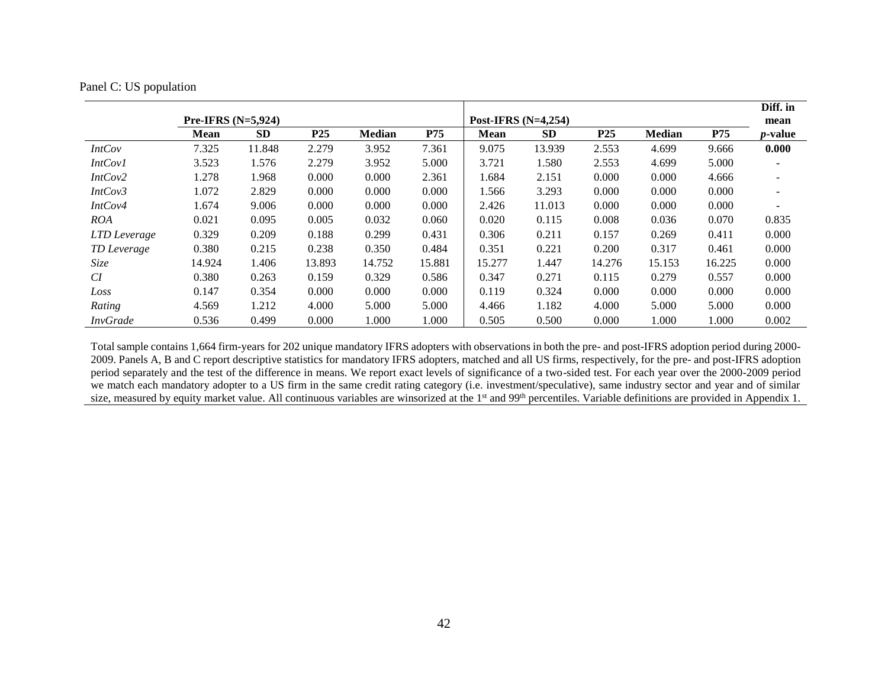| Panel C: US population |  |
|------------------------|--|
|------------------------|--|

|                 |                      |           |        |               |            |                       |           |            |               |        | Diff. in                 |
|-----------------|----------------------|-----------|--------|---------------|------------|-----------------------|-----------|------------|---------------|--------|--------------------------|
|                 | Pre-IFRS $(N=5,924)$ |           |        |               |            | Post-IFRS $(N=4,254)$ |           |            |               |        | mean                     |
|                 | <b>Mean</b>          | <b>SD</b> | P25    | <b>Median</b> | <b>P75</b> | <b>Mean</b>           | <b>SD</b> | <b>P25</b> | <b>Median</b> | P75    | <i>p</i> -value          |
| <b>IntCov</b>   | 7.325                | 11.848    | 2.279  | 3.952         | 7.361      | 9.075                 | 13.939    | 2.553      | 4.699         | 9.666  | 0.000                    |
| <i>IntCov1</i>  | 3.523                | 1.576     | 2.279  | 3.952         | 5.000      | 3.721                 | 1.580     | 2.553      | 4.699         | 5.000  |                          |
| IntCov2         | 1.278                | 1.968     | 0.000  | 0.000         | 2.361      | 1.684                 | 2.151     | 0.000      | 0.000         | 4.666  | $\overline{\phantom{a}}$ |
| IntCov3         | 1.072                | 2.829     | 0.000  | 0.000         | 0.000      | 1.566                 | 3.293     | 0.000      | 0.000         | 0.000  |                          |
| IntCov4         | 1.674                | 9.006     | 0.000  | 0.000         | 0.000      | 2.426                 | 11.013    | 0.000      | 0.000         | 0.000  |                          |
| <b>ROA</b>      | 0.021                | 0.095     | 0.005  | 0.032         | 0.060      | 0.020                 | 0.115     | 0.008      | 0.036         | 0.070  | 0.835                    |
| LTD Leverage    | 0.329                | 0.209     | 0.188  | 0.299         | 0.431      | 0.306                 | 0.211     | 0.157      | 0.269         | 0.411  | 0.000                    |
| TD Leverage     | 0.380                | 0.215     | 0.238  | 0.350         | 0.484      | 0.351                 | 0.221     | 0.200      | 0.317         | 0.461  | 0.000                    |
| Size            | 14.924               | 1.406     | 13.893 | 14.752        | 15.881     | 15.277                | 1.447     | 14.276     | 15.153        | 16.225 | 0.000                    |
| CI              | 0.380                | 0.263     | 0.159  | 0.329         | 0.586      | 0.347                 | 0.271     | 0.115      | 0.279         | 0.557  | 0.000                    |
| Loss            | 0.147                | 0.354     | 0.000  | 0.000         | 0.000      | 0.119                 | 0.324     | 0.000      | 0.000         | 0.000  | 0.000                    |
| Rating          | 4.569                | 1.212     | 4.000  | 5.000         | 5.000      | 4.466                 | 1.182     | 4.000      | 5.000         | 5.000  | 0.000                    |
| <b>InvGrade</b> | 0.536                | 0.499     | 0.000  | 1.000         | 1.000      | 0.505                 | 0.500     | 0.000      | 1.000         | 1.000  | 0.002                    |

Total sample contains 1,664 firm-years for 202 unique mandatory IFRS adopters with observations in both the pre- and post-IFRS adoption period during 2000- 2009. Panels A, B and C report descriptive statistics for mandatory IFRS adopters, matched and all US firms, respectively, for the pre- and post-IFRS adoption period separately and the test of the difference in means. We report exact levels of significance of a two-sided test. For each year over the 2000-2009 period we match each mandatory adopter to a US firm in the same credit rating category (i.e. investment/speculative), same industry sector and year and of similar size, measured by equity market value. All continuous variables are winsorized at the 1<sup>st</sup> and 99<sup>th</sup> percentiles. Variable definitions are provided in Appendix 1.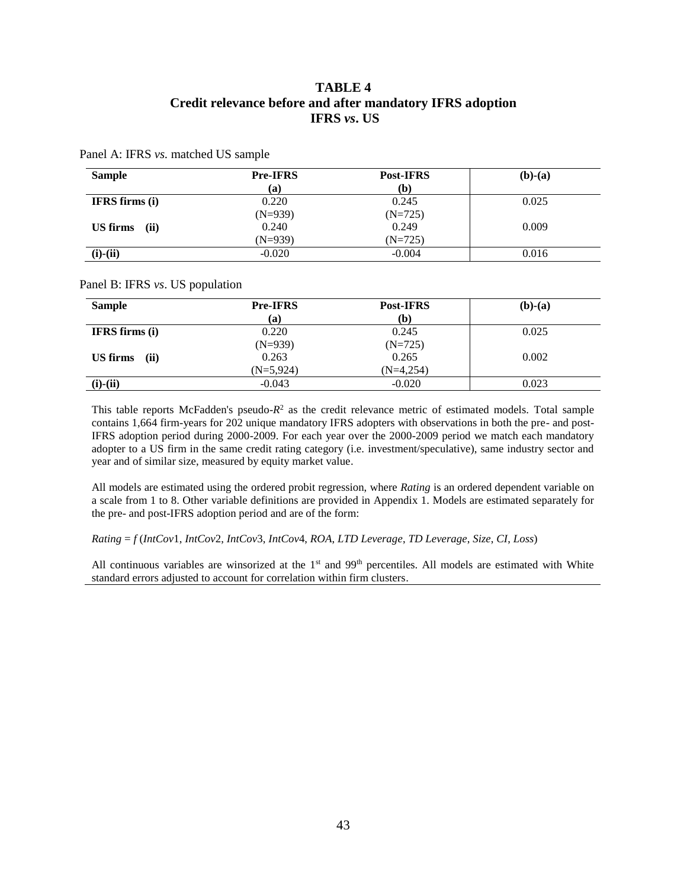# **TABLE 4 Credit relevance before and after mandatory IFRS adoption IFRS** *vs***. US**

Panel A: IFRS *vs.* matched US sample

| <b>Sample</b>         | <b>Pre-IFRS</b> | Post-IFRS | $(b)-(a)$ |
|-----------------------|-----------------|-----------|-----------|
|                       | (a)             | (b)       |           |
| <b>IFRS</b> firms (i) | 0.220           | 0.245     | 0.025     |
|                       | $(N=939)$       | $(N=725)$ |           |
| US firms<br>(ii)      | 0.240           | 0.249     | 0.009     |
|                       | $(N=939)$       | $(N=725)$ |           |
| $(i)-(ii)$            | $-0.020$        | $-0.004$  | 0.016     |

#### Panel B: IFRS *vs*. US population

| <b>Sample</b>         | <b>Pre-IFRS</b><br>(a) | <b>Post-IFRS</b><br>(b) | $(b)-(a)$ |
|-----------------------|------------------------|-------------------------|-----------|
| <b>IFRS</b> firms (i) | 0.220                  | 0.245                   | 0.025     |
|                       | $(N=939)$              | $(N=725)$               |           |
| US firms<br>(ii)      | 0.263                  | 0.265                   | 0.002     |
|                       | $(N=5,924)$            | $(N=4,254)$             |           |
| $(i)-(ii)$            | $-0.043$               | $-0.020$                | 0.023     |

This table reports McFadden's pseudo-*R* 2 as the credit relevance metric of estimated models. Total sample contains 1,664 firm-years for 202 unique mandatory IFRS adopters with observations in both the pre- and post-IFRS adoption period during 2000-2009. For each year over the 2000-2009 period we match each mandatory adopter to a US firm in the same credit rating category (i.e. investment/speculative), same industry sector and year and of similar size, measured by equity market value.

All models are estimated using the ordered probit regression, where *Rating* is an ordered dependent variable on a scale from 1 to 8. Other variable definitions are provided in Appendix 1. Models are estimated separately for the pre- and post-IFRS adoption period and are of the form:

*Rating* = *f* (*IntCov*1, *IntCov*2, *IntCov*3, *IntCov*4, *ROA*, *LTD Leverage*, *TD Leverage*, *Size*, *CI*, *Loss*)

All continuous variables are winsorized at the  $1<sup>st</sup>$  and  $99<sup>th</sup>$  percentiles. All models are estimated with White standard errors adjusted to account for correlation within firm clusters.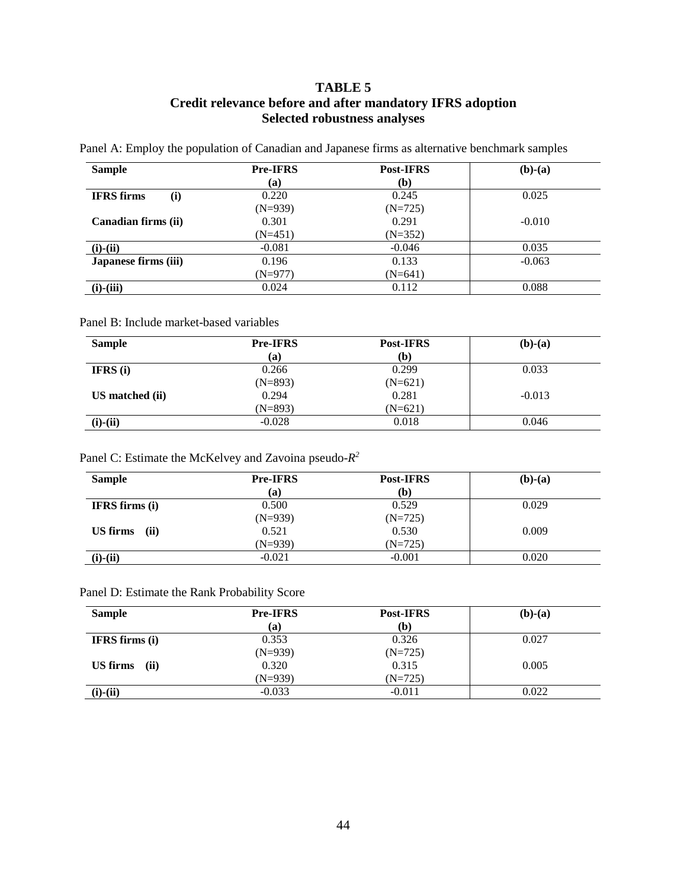# **TABLE 5 Credit relevance before and after mandatory IFRS adoption Selected robustness analyses**

Panel A: Employ the population of Canadian and Japanese firms as alternative benchmark samples

| <b>Sample</b>            | <b>Pre-IFRS</b> | <b>Post-IFRS</b> | $(b)-(a)$ |
|--------------------------|-----------------|------------------|-----------|
|                          | (a)             | (b)              |           |
| <b>IFRS</b> firms<br>(i) | 0.220           | 0.245            | 0.025     |
|                          | $(N=939)$       | $(N=725)$        |           |
| Canadian firms (ii)      | 0.301           | 0.291            | $-0.010$  |
|                          | $(N=451)$       | $(N=352)$        |           |
| $(i)-(ii)$               | $-0.081$        | $-0.046$         | 0.035     |
| Japanese firms (iii)     | 0.196           | 0.133            | $-0.063$  |
|                          | $(N=977)$       | $(N=641)$        |           |
| $(i)-(iii)$              | 0.024           | 0.112            | 0.088     |

#### Panel B: Include market-based variables

| <b>Sample</b>     | <b>Pre-IFRS</b> | <b>Post-IFRS</b> | $(b)-(a)$ |
|-------------------|-----------------|------------------|-----------|
|                   | (a)             | (b)              |           |
| <b>IFRS</b> $(i)$ | 0.266           | 0.299            | 0.033     |
|                   | $(N=893)$       | $(N=621)$        |           |
| US matched (ii)   | 0.294           | 0.281            | $-0.013$  |
|                   | $(N=893)$       | (N=621)          |           |
| $(i)-(ii)$        | $-0.028$        | 0.018            | 0.046     |

#### Panel C: Estimate the McKelvey and Zavoina pseudo-*R 2*

| <b>Sample</b>         | <b>Pre-IFRS</b> | <b>Post-IFRS</b> | $(b)-(a)$ |
|-----------------------|-----------------|------------------|-----------|
|                       | (a)             | (b)              |           |
| <b>IFRS</b> firms (i) | 0.500           | 0.529            | 0.029     |
|                       | $(N=939)$       | $(N=725)$        |           |
| US firms<br>(ii)      | 0.521           | 0.530            | 0.009     |
|                       | $(N=939)$       | $(N=725)$        |           |
| $(i)$ - $(ii)$        | $-0.021$        | $-0.001$         | 0.020     |

# Panel D: Estimate the Rank Probability Score

| <b>Sample</b>         | <b>Pre-IFRS</b> | <b>Post-IFRS</b> | $(b)-(a)$ |
|-----------------------|-----------------|------------------|-----------|
|                       | (a)             | (b)              |           |
| <b>IFRS</b> firms (i) | 0.353           | 0.326            | 0.027     |
|                       | $(N=939)$       | $(N=725)$        |           |
| US firms<br>(ii)      | 0.320           | 0.315            | 0.005     |
|                       | $(N=939)$       | $(N=725)$        |           |
| $(i)-(ii)$            | $-0.033$        | $-0.011$         | 0.022     |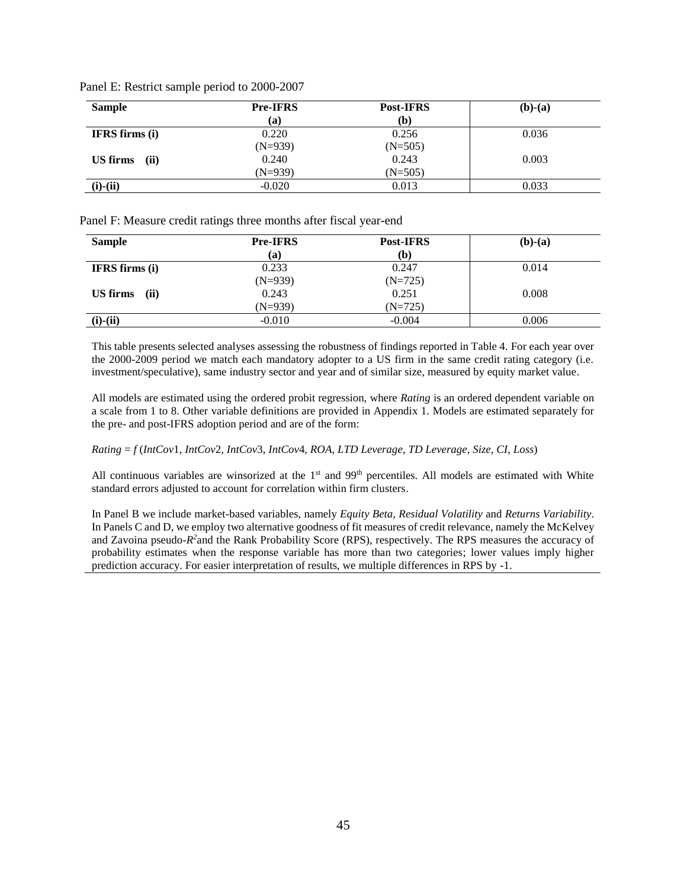| <b>Sample</b>         | <b>Pre-IFRS</b> | <b>Post-IFRS</b> | $(b)-(a)$ |
|-----------------------|-----------------|------------------|-----------|
|                       | <b>(a)</b>      | (b)              |           |
| <b>IFRS</b> firms (i) | 0.220           | 0.256            | 0.036     |
|                       | $(N=939)$       | $(N=505)$        |           |
| US firms<br>(ii)      | 0.240           | 0.243            | 0.003     |
|                       | $(N=939)$       | $(N=505)$        |           |
| $(i)-(ii)$            | $-0.020$        | 0.013            | 0.033     |

Panel E: Restrict sample period to 2000-2007

Panel F: Measure credit ratings three months after fiscal year-end

| <b>Sample</b>         | <b>Pre-IFRS</b><br>(a) | Post-IFRS<br>$\mathbf{b}$ | $(b)-(a)$ |
|-----------------------|------------------------|---------------------------|-----------|
| <b>IFRS</b> firms (i) | 0.233                  | 0.247                     | 0.014     |
|                       | $(N=939)$              | $(N=725)$                 |           |
| US firms<br>(ii)      | 0.243                  | 0.251                     | 0.008     |
|                       | $(N=939)$              | $(N=725)$                 |           |
| $(i)-(ii)$            | $-0.010$               | $-0.004$                  | 0.006     |

This table presents selected analyses assessing the robustness of findings reported in Table 4. For each year over the 2000-2009 period we match each mandatory adopter to a US firm in the same credit rating category (i.e. investment/speculative), same industry sector and year and of similar size, measured by equity market value.

All models are estimated using the ordered probit regression, where *Rating* is an ordered dependent variable on a scale from 1 to 8. Other variable definitions are provided in Appendix 1. Models are estimated separately for the pre- and post-IFRS adoption period and are of the form:

#### *Rating* = *f* (*IntCov*1, *IntCov*2, *IntCov*3, *IntCov*4, *ROA*, *LTD Leverage*, *TD Leverage*, *Size, CI*, *Loss*)

All continuous variables are winsorized at the 1<sup>st</sup> and 99<sup>th</sup> percentiles. All models are estimated with White standard errors adjusted to account for correlation within firm clusters.

In Panel B we include market-based variables, namely *Equity Beta, Residual Volatility* and *Returns Variability*. In Panels C and D, we employ two alternative goodness of fit measures of credit relevance, namely the McKelvey and Zavoina pseudo- $R^2$  and the Rank Probability Score (RPS), respectively. The RPS measures the accuracy of probability estimates when the response variable has more than two categories; lower values imply higher prediction accuracy. For easier interpretation of results, we multiple differences in RPS by -1.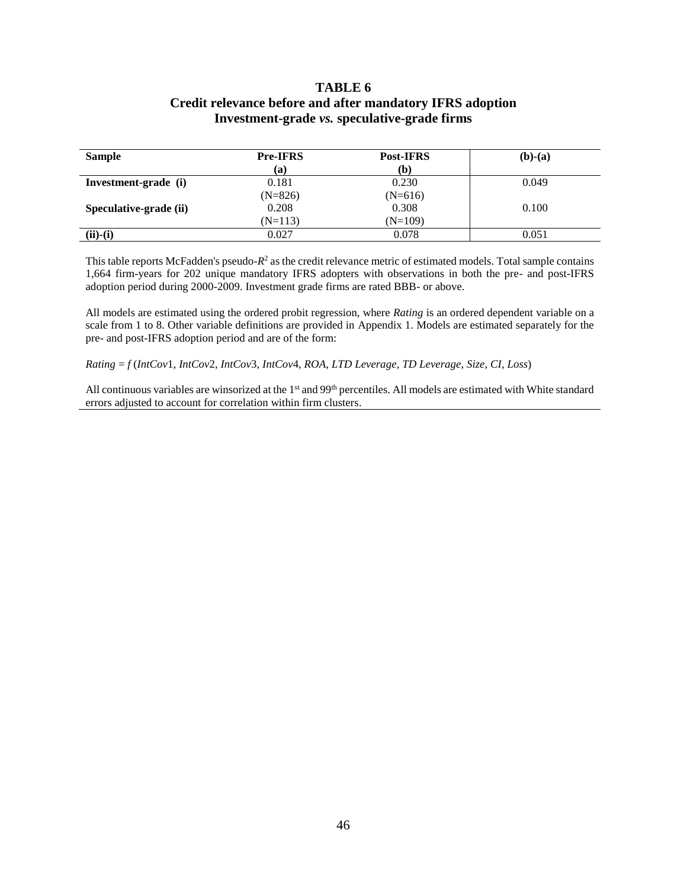## **TABLE 6 Credit relevance before and after mandatory IFRS adoption Investment-grade** *vs.* **speculative-grade firms**

| <b>Sample</b>          | <b>Pre-IFRS</b> | <b>Post-IFRS</b><br>(b) | $(b)-(a)$ |
|------------------------|-----------------|-------------------------|-----------|
|                        | (a)             |                         |           |
| Investment-grade (i)   | 0.181           | 0.230                   | 0.049     |
|                        | $(N=826)$       | $(N=616)$               |           |
| Speculative-grade (ii) | 0.208           | 0.308                   | 0.100     |
|                        | $(N=113)$       | $(N=109)$               |           |
| $(ii)-(i)$             | 0.027           | 0.078                   | 0.051     |

This table reports McFadden's pseudo- $R^2$  as the credit relevance metric of estimated models. Total sample contains 1,664 firm-years for 202 unique mandatory IFRS adopters with observations in both the pre- and post-IFRS adoption period during 2000-2009. Investment grade firms are rated BBB- or above.

All models are estimated using the ordered probit regression, where *Rating* is an ordered dependent variable on a scale from 1 to 8. Other variable definitions are provided in Appendix 1. Models are estimated separately for the pre- and post-IFRS adoption period and are of the form:

*Rating* = *f* (*IntCov*1, *IntCov*2, *IntCov*3, *IntCov*4, *ROA*, *LTD Leverage*, *TD Leverage*, *Size*, *CI*, *Loss*)

All continuous variables are winsorized at the 1<sup>st</sup> and 99<sup>th</sup> percentiles. All models are estimated with White standard errors adjusted to account for correlation within firm clusters.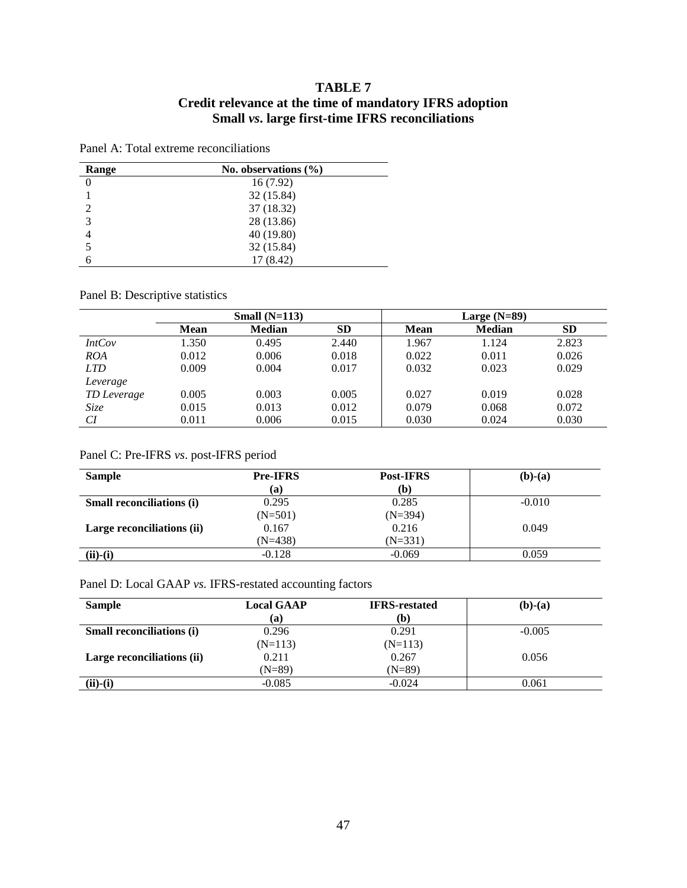# **TABLE 7 Credit relevance at the time of mandatory IFRS adoption Small** *vs***. large first-time IFRS reconciliations**

| Range          | No. observations $(\% )$ |  |
|----------------|--------------------------|--|
|                | 16(7.92)                 |  |
|                | 32 (15.84)               |  |
| $\mathfrak{D}$ | 37 (18.32)               |  |
| 3              | 28 (13.86)               |  |
|                | 40 (19.80)               |  |
| 5              | 32 (15.84)               |  |
| 6              | 17 (8.42)                |  |

#### Panel A: Total extreme reconciliations

# Panel B: Descriptive statistics

|             | Small $(N=113)$ |               |       |             |               |           |
|-------------|-----------------|---------------|-------|-------------|---------------|-----------|
|             | <b>Mean</b>     | <b>Median</b> | SD.   | <b>Mean</b> | <b>Median</b> | <b>SD</b> |
| IntCov      | 1.350           | 0.495         | 2.440 | 1.967       | 1.124         | 2.823     |
| <b>ROA</b>  | 0.012           | 0.006         | 0.018 | 0.022       | 0.011         | 0.026     |
| <b>LTD</b>  | 0.009           | 0.004         | 0.017 | 0.032       | 0.023         | 0.029     |
| Leverage    |                 |               |       |             |               |           |
| TD Leverage | 0.005           | 0.003         | 0.005 | 0.027       | 0.019         | 0.028     |
| <i>Size</i> | 0.015           | 0.013         | 0.012 | 0.079       | 0.068         | 0.072     |
| CI          | 0.011           | 0.006         | 0.015 | 0.030       | 0.024         | 0.030     |

# Panel C: Pre-IFRS *vs*. post-IFRS period

| <b>Sample</b>                    | <b>Pre-IFRS</b> | Post-IFRS | $(b)-(a)$ |
|----------------------------------|-----------------|-----------|-----------|
|                                  | (a)             | (b)       |           |
| <b>Small reconciliations (i)</b> | 0.295           | 0.285     | $-0.010$  |
|                                  | $(N=501)$       | $(N=394)$ |           |
| Large reconciliations (ii)       | 0.167           | 0.216     | 0.049     |
|                                  | (N=438)         | $(N=331)$ |           |
| $(ii)-(i)$                       | $-0.128$        | $-0.069$  | 0.059     |

#### Panel D: Local GAAP *vs.* IFRS-restated accounting factors

| <b>Sample</b>                    | <b>Local GAAP</b> | <b>IFRS-restated</b> | $(b)-(a)$ |
|----------------------------------|-------------------|----------------------|-----------|
|                                  | (a)               | (b)                  |           |
| <b>Small reconciliations (i)</b> | 0.296             | 0.291                | $-0.005$  |
|                                  | $(N=113)$         | $(N=113)$            |           |
| Large reconciliations (ii)       | 0.211             | 0.267                | 0.056     |
|                                  | $(N=89)$          | $(N=89)$             |           |
| $(ii)-(i)$                       | $-0.085$          | $-0.024$             | 0.061     |